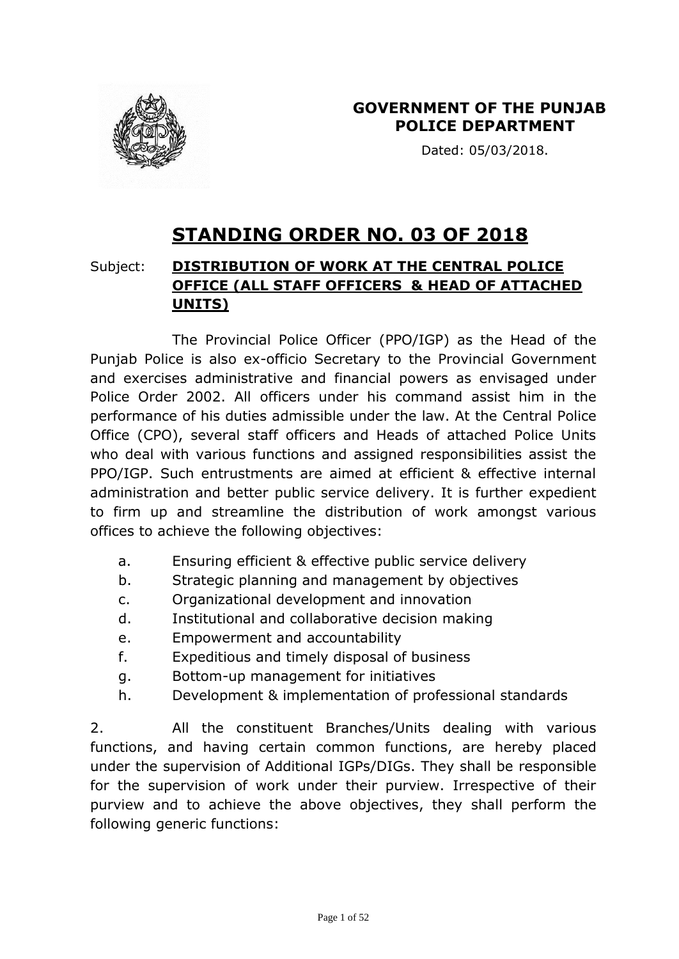

Dated: 05/03/2018.

# **STANDING ORDER NO. 03 OF 2018**

# Subject: **DISTRIBUTION OF WORK AT THE CENTRAL POLICE OFFICE (ALL STAFF OFFICERS & HEAD OF ATTACHED UNITS)**

The Provincial Police Officer (PPO/IGP) as the Head of the Punjab Police is also ex-officio Secretary to the Provincial Government and exercises administrative and financial powers as envisaged under Police Order 2002. All officers under his command assist him in the performance of his duties admissible under the law. At the Central Police Office (CPO), several staff officers and Heads of attached Police Units who deal with various functions and assigned responsibilities assist the PPO/IGP. Such entrustments are aimed at efficient & effective internal administration and better public service delivery. It is further expedient to firm up and streamline the distribution of work amongst various offices to achieve the following objectives:

- a. Ensuring efficient & effective public service delivery
- b. Strategic planning and management by objectives
- c. Organizational development and innovation
- d. Institutional and collaborative decision making
- e. Empowerment and accountability
- f. Expeditious and timely disposal of business
- g. Bottom-up management for initiatives
- h. Development & implementation of professional standards

2. All the constituent Branches/Units dealing with various functions, and having certain common functions, are hereby placed under the supervision of Additional IGPs/DIGs. They shall be responsible for the supervision of work under their purview. Irrespective of their purview and to achieve the above objectives, they shall perform the following generic functions: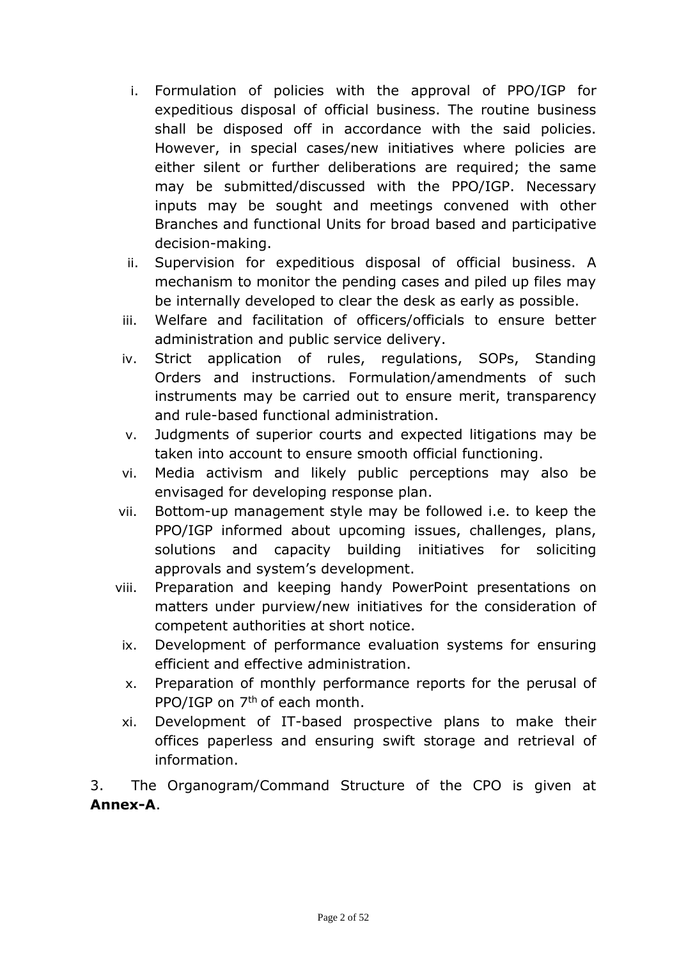- i. Formulation of policies with the approval of PPO/IGP for expeditious disposal of official business. The routine business shall be disposed off in accordance with the said policies. However, in special cases/new initiatives where policies are either silent or further deliberations are required; the same may be submitted/discussed with the PPO/IGP. Necessary inputs may be sought and meetings convened with other Branches and functional Units for broad based and participative decision-making.
- ii. Supervision for expeditious disposal of official business. A mechanism to monitor the pending cases and piled up files may be internally developed to clear the desk as early as possible.
- iii. Welfare and facilitation of officers/officials to ensure better administration and public service delivery.
- iv. Strict application of rules, regulations, SOPs, Standing Orders and instructions. Formulation/amendments of such instruments may be carried out to ensure merit, transparency and rule-based functional administration.
- v. Judgments of superior courts and expected litigations may be taken into account to ensure smooth official functioning.
- vi. Media activism and likely public perceptions may also be envisaged for developing response plan.
- vii. Bottom-up management style may be followed i.e. to keep the PPO/IGP informed about upcoming issues, challenges, plans, solutions and capacity building initiatives for soliciting approvals and system's development.
- viii. Preparation and keeping handy PowerPoint presentations on matters under purview/new initiatives for the consideration of competent authorities at short notice.
- ix. Development of performance evaluation systems for ensuring efficient and effective administration.
- x. Preparation of monthly performance reports for the perusal of PPO/IGP on 7<sup>th</sup> of each month.
- xi. Development of IT-based prospective plans to make their offices paperless and ensuring swift storage and retrieval of information.

3. The Organogram/Command Structure of the CPO is given at **Annex-A**.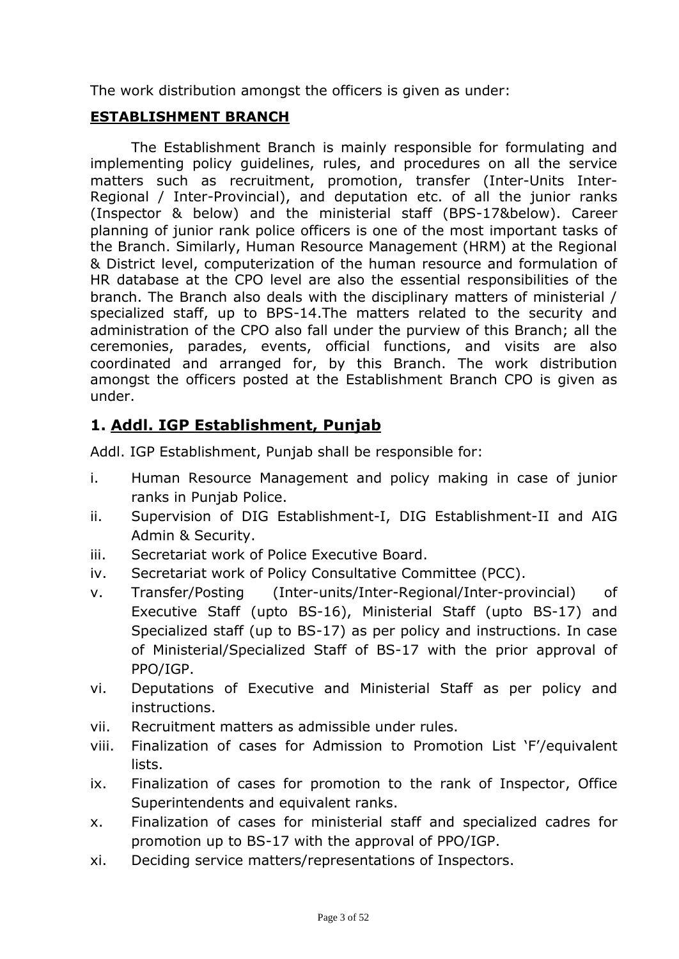The work distribution amongst the officers is given as under:

#### **ESTABLISHMENT BRANCH**

The Establishment Branch is mainly responsible for formulating and implementing policy guidelines, rules, and procedures on all the service matters such as recruitment, promotion, transfer (Inter-Units Inter-Regional / Inter-Provincial), and deputation etc. of all the junior ranks (Inspector & below) and the ministerial staff (BPS-17&below). Career planning of junior rank police officers is one of the most important tasks of the Branch. Similarly, Human Resource Management (HRM) at the Regional & District level, computerization of the human resource and formulation of HR database at the CPO level are also the essential responsibilities of the branch. The Branch also deals with the disciplinary matters of ministerial / specialized staff, up to BPS-14.The matters related to the security and administration of the CPO also fall under the purview of this Branch; all the ceremonies, parades, events, official functions, and visits are also coordinated and arranged for, by this Branch. The work distribution amongst the officers posted at the Establishment Branch CPO is given as under.

# **1. Addl. IGP Establishment, Punjab**

Addl. IGP Establishment, Punjab shall be responsible for:

- i. Human Resource Management and policy making in case of junior ranks in Punjab Police.
- ii. Supervision of DIG Establishment-I, DIG Establishment-II and AIG Admin & Security.
- iii. Secretariat work of Police Executive Board.
- iv. Secretariat work of Policy Consultative Committee (PCC).
- v. Transfer/Posting (Inter-units/Inter-Regional/Inter-provincial) of Executive Staff (upto BS-16), Ministerial Staff (upto BS-17) and Specialized staff (up to BS-17) as per policy and instructions. In case of Ministerial/Specialized Staff of BS-17 with the prior approval of PPO/IGP.
- vi. Deputations of Executive and Ministerial Staff as per policy and instructions.
- vii. Recruitment matters as admissible under rules.
- viii. Finalization of cases for Admission to Promotion List 'F'/equivalent lists.
- ix. Finalization of cases for promotion to the rank of Inspector, Office Superintendents and equivalent ranks.
- x. Finalization of cases for ministerial staff and specialized cadres for promotion up to BS-17 with the approval of PPO/IGP.
- xi. Deciding service matters/representations of Inspectors.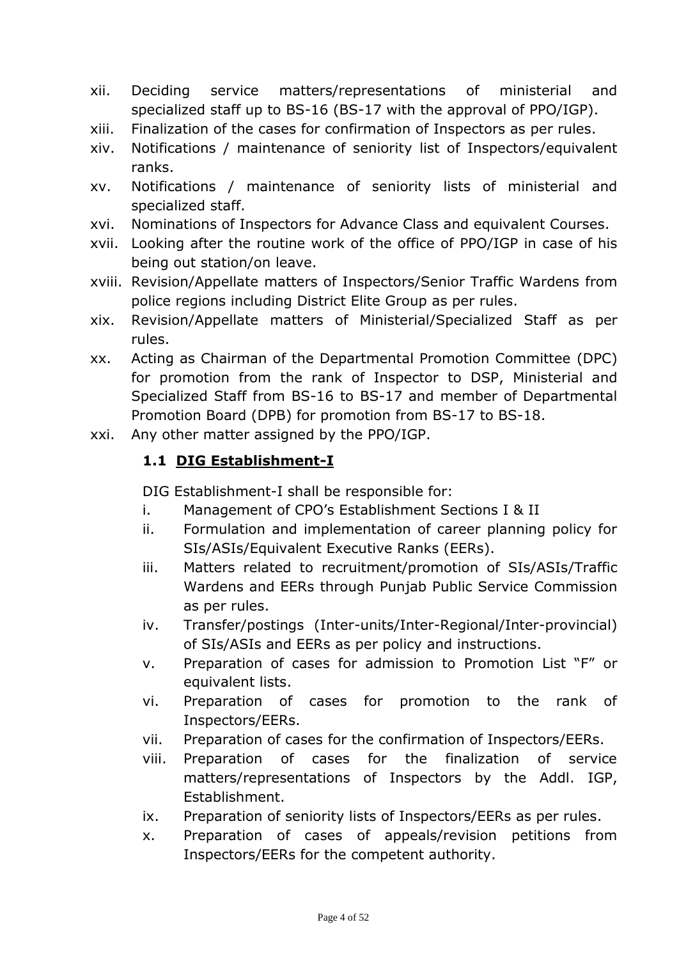- xii. Deciding service matters/representations of ministerial and specialized staff up to BS-16 (BS-17 with the approval of PPO/IGP).
- xiii. Finalization of the cases for confirmation of Inspectors as per rules.
- xiv. Notifications / maintenance of seniority list of Inspectors/equivalent ranks.
- xv. Notifications / maintenance of seniority lists of ministerial and specialized staff.
- xvi. Nominations of Inspectors for Advance Class and equivalent Courses.
- xvii. Looking after the routine work of the office of PPO/IGP in case of his being out station/on leave.
- xviii. Revision/Appellate matters of Inspectors/Senior Traffic Wardens from police regions including District Elite Group as per rules.
- xix. Revision/Appellate matters of Ministerial/Specialized Staff as per rules.
- xx. Acting as Chairman of the Departmental Promotion Committee (DPC) for promotion from the rank of Inspector to DSP, Ministerial and Specialized Staff from BS-16 to BS-17 and member of Departmental Promotion Board (DPB) for promotion from BS-17 to BS-18.
- xxi. Any other matter assigned by the PPO/IGP.

#### **1.1 DIG Establishment-I**

DIG Establishment-I shall be responsible for:

- i. Management of CPO's Establishment Sections I & II
- ii. Formulation and implementation of career planning policy for SIs/ASIs/Equivalent Executive Ranks (EERs).
- iii. Matters related to recruitment/promotion of SIs/ASIs/Traffic Wardens and EERs through Punjab Public Service Commission as per rules.
- iv. Transfer/postings (Inter-units/Inter-Regional/Inter-provincial) of SIs/ASIs and EERs as per policy and instructions.
- v. Preparation of cases for admission to Promotion List "F" or equivalent lists.
- vi. Preparation of cases for promotion to the rank of Inspectors/EERs.
- vii. Preparation of cases for the confirmation of Inspectors/EERs.
- viii. Preparation of cases for the finalization of service matters/representations of Inspectors by the Addl. IGP, Establishment.
- ix. Preparation of seniority lists of Inspectors/EERs as per rules.
- x. Preparation of cases of appeals/revision petitions from Inspectors/EERs for the competent authority.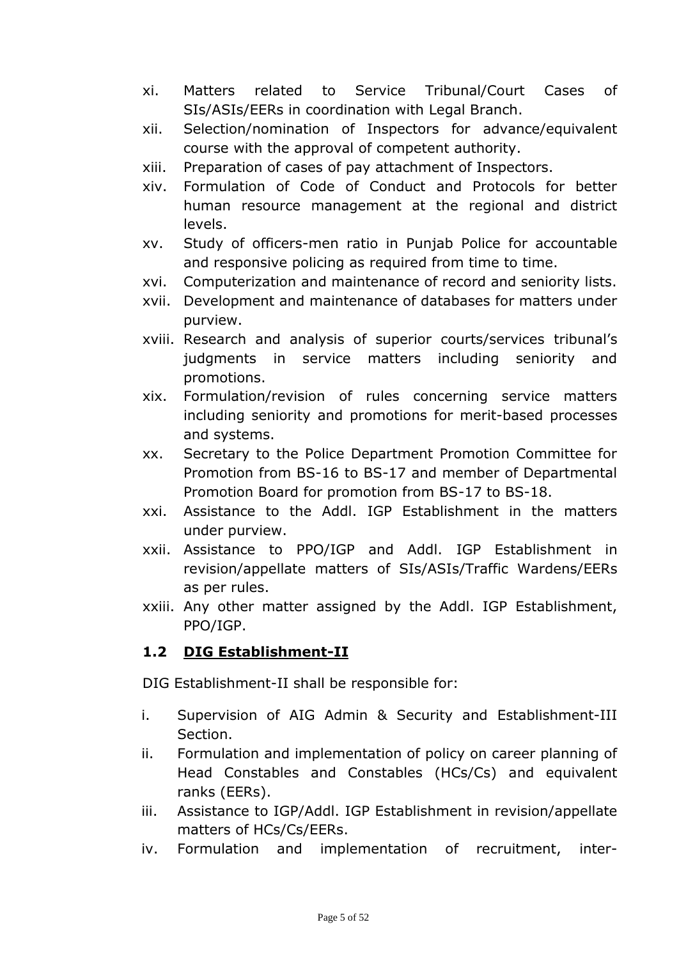- xi. Matters related to Service Tribunal/Court Cases of SIs/ASIs/EERs in coordination with Legal Branch.
- xii. Selection/nomination of Inspectors for advance/equivalent course with the approval of competent authority.
- xiii. Preparation of cases of pay attachment of Inspectors.
- xiv. Formulation of Code of Conduct and Protocols for better human resource management at the regional and district levels.
- xv. Study of officers-men ratio in Punjab Police for accountable and responsive policing as required from time to time.
- xvi. Computerization and maintenance of record and seniority lists.
- xvii. Development and maintenance of databases for matters under purview.
- xviii. Research and analysis of superior courts/services tribunal's judgments in service matters including seniority and promotions.
- xix. Formulation/revision of rules concerning service matters including seniority and promotions for merit-based processes and systems.
- xx. Secretary to the Police Department Promotion Committee for Promotion from BS-16 to BS-17 and member of Departmental Promotion Board for promotion from BS-17 to BS-18.
- xxi. Assistance to the Addl. IGP Establishment in the matters under purview.
- xxii. Assistance to PPO/IGP and Addl. IGP Establishment in revision/appellate matters of SIs/ASIs/Traffic Wardens/EERs as per rules.
- xxiii. Any other matter assigned by the Addl. IGP Establishment, PPO/IGP.

## **1.2 DIG Establishment-II**

DIG Establishment-II shall be responsible for:

- i. Supervision of AIG Admin & Security and Establishment-III Section.
- ii. Formulation and implementation of policy on career planning of Head Constables and Constables (HCs/Cs) and equivalent ranks (EERs).
- iii. Assistance to IGP/Addl. IGP Establishment in revision/appellate matters of HCs/Cs/EERs.
- iv. Formulation and implementation of recruitment, inter-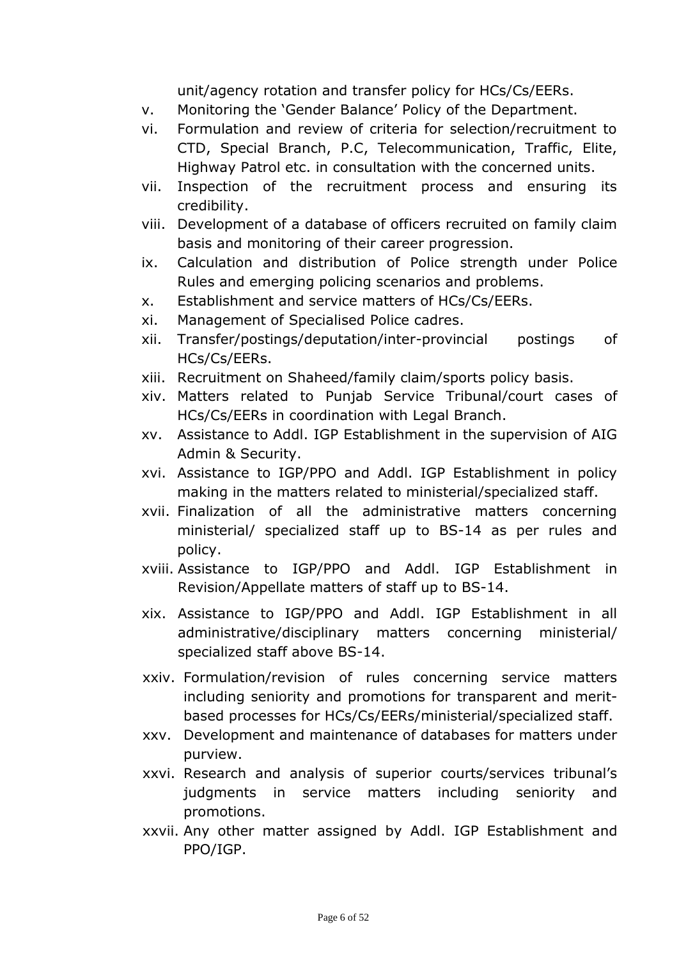unit/agency rotation and transfer policy for HCs/Cs/EERs.

- v. Monitoring the 'Gender Balance' Policy of the Department.
- vi. Formulation and review of criteria for selection/recruitment to CTD, Special Branch, P.C, Telecommunication, Traffic, Elite, Highway Patrol etc. in consultation with the concerned units.
- vii. Inspection of the recruitment process and ensuring its credibility.
- viii. Development of a database of officers recruited on family claim basis and monitoring of their career progression.
- ix. Calculation and distribution of Police strength under Police Rules and emerging policing scenarios and problems.
- x. Establishment and service matters of HCs/Cs/EERs.
- xi. Management of Specialised Police cadres.
- xii. Transfer/postings/deputation/inter-provincial postings of HCs/Cs/EERs.
- xiii. Recruitment on Shaheed/family claim/sports policy basis.
- xiv. Matters related to Punjab Service Tribunal/court cases of HCs/Cs/EERs in coordination with Legal Branch.
- xv. Assistance to Addl. IGP Establishment in the supervision of AIG Admin & Security.
- xvi. Assistance to IGP/PPO and Addl. IGP Establishment in policy making in the matters related to ministerial/specialized staff.
- xvii. Finalization of all the administrative matters concerning ministerial/ specialized staff up to BS-14 as per rules and policy.
- xviii. Assistance to IGP/PPO and Addl. IGP Establishment in Revision/Appellate matters of staff up to BS-14.
- xix. Assistance to IGP/PPO and Addl. IGP Establishment in all administrative/disciplinary matters concerning ministerial/ specialized staff above BS-14.
- xxiv. Formulation/revision of rules concerning service matters including seniority and promotions for transparent and meritbased processes for HCs/Cs/EERs/ministerial/specialized staff.
- xxv. Development and maintenance of databases for matters under purview.
- xxvi. Research and analysis of superior courts/services tribunal's judgments in service matters including seniority and promotions.
- xxvii. Any other matter assigned by Addl. IGP Establishment and PPO/IGP.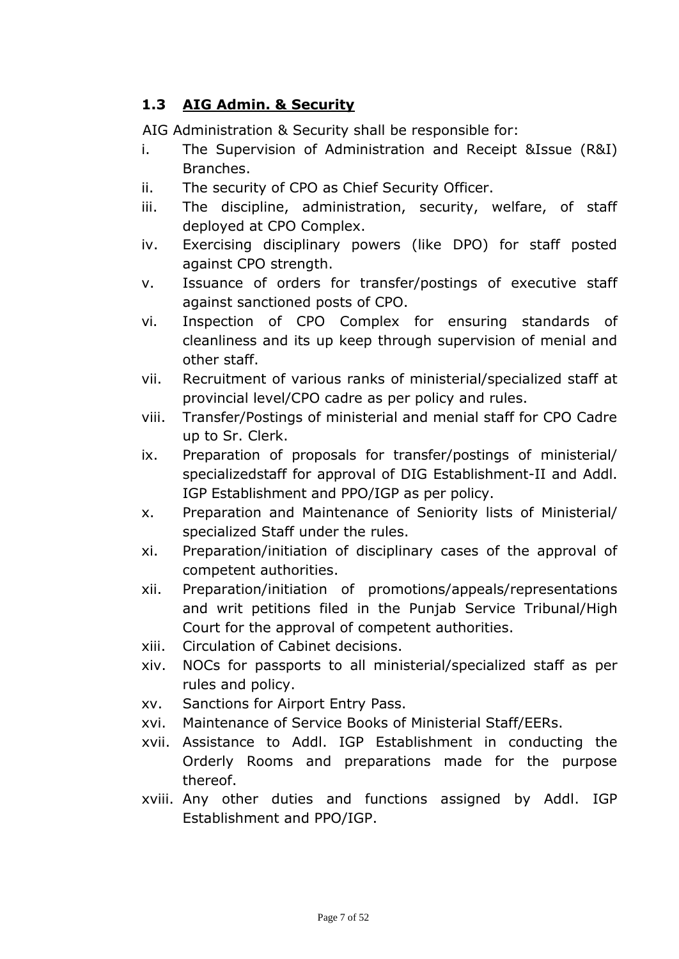## **1.3 AIG Admin. & Security**

AIG Administration & Security shall be responsible for:

- i. The Supervision of Administration and Receipt &Issue (R&I) Branches.
- ii. The security of CPO as Chief Security Officer.
- iii. The discipline, administration, security, welfare, of staff deployed at CPO Complex.
- iv. Exercising disciplinary powers (like DPO) for staff posted against CPO strength.
- v. Issuance of orders for transfer/postings of executive staff against sanctioned posts of CPO.
- vi. Inspection of CPO Complex for ensuring standards of cleanliness and its up keep through supervision of menial and other staff.
- vii. Recruitment of various ranks of ministerial/specialized staff at provincial level/CPO cadre as per policy and rules.
- viii. Transfer/Postings of ministerial and menial staff for CPO Cadre up to Sr. Clerk.
- ix. Preparation of proposals for transfer/postings of ministerial/ specializedstaff for approval of DIG Establishment-II and Addl. IGP Establishment and PPO/IGP as per policy.
- x. Preparation and Maintenance of Seniority lists of Ministerial/ specialized Staff under the rules.
- xi. Preparation/initiation of disciplinary cases of the approval of competent authorities.
- xii. Preparation/initiation of promotions/appeals/representations and writ petitions filed in the Punjab Service Tribunal/High Court for the approval of competent authorities.
- xiii. Circulation of Cabinet decisions.
- xiv. NOCs for passports to all ministerial/specialized staff as per rules and policy.
- xv. Sanctions for Airport Entry Pass.
- xvi. Maintenance of Service Books of Ministerial Staff/EERs.
- xvii. Assistance to Addl. IGP Establishment in conducting the Orderly Rooms and preparations made for the purpose thereof.
- xviii. Any other duties and functions assigned by Addl. IGP Establishment and PPO/IGP.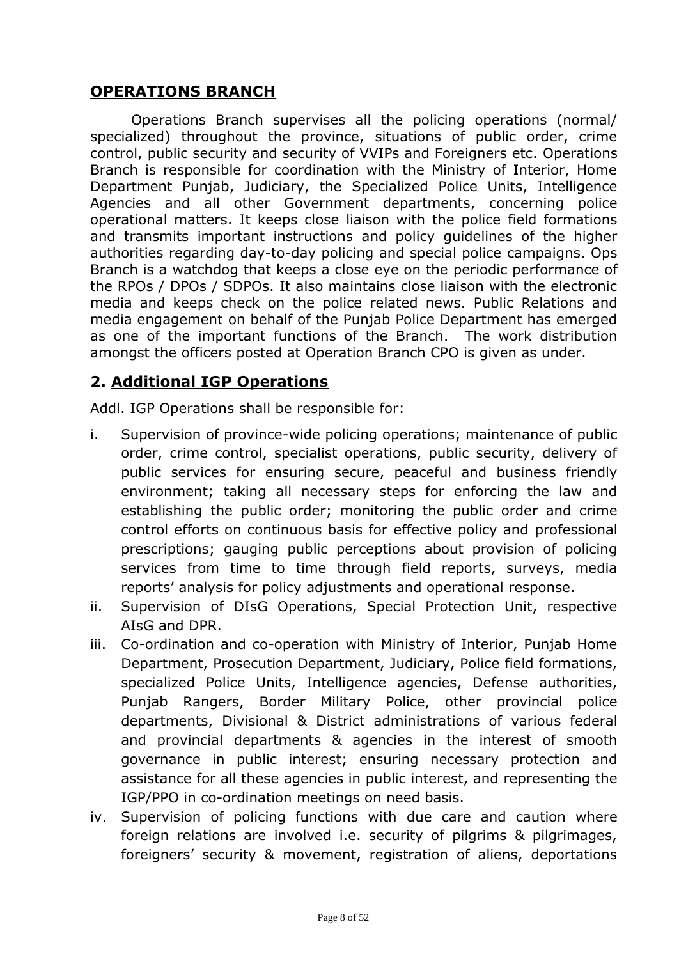#### **OPERATIONS BRANCH**

Operations Branch supervises all the policing operations (normal/ specialized) throughout the province, situations of public order, crime control, public security and security of VVIPs and Foreigners etc. Operations Branch is responsible for coordination with the Ministry of Interior, Home Department Punjab, Judiciary, the Specialized Police Units, Intelligence Agencies and all other Government departments, concerning police operational matters. It keeps close liaison with the police field formations and transmits important instructions and policy guidelines of the higher authorities regarding day-to-day policing and special police campaigns. Ops Branch is a watchdog that keeps a close eye on the periodic performance of the RPOs / DPOs / SDPOs. It also maintains close liaison with the electronic media and keeps check on the police related news. Public Relations and media engagement on behalf of the Punjab Police Department has emerged as one of the important functions of the Branch. The work distribution amongst the officers posted at Operation Branch CPO is given as under.

## **2. Additional IGP Operations**

Addl. IGP Operations shall be responsible for:

- i. Supervision of province-wide policing operations; maintenance of public order, crime control, specialist operations, public security, delivery of public services for ensuring secure, peaceful and business friendly environment; taking all necessary steps for enforcing the law and establishing the public order; monitoring the public order and crime control efforts on continuous basis for effective policy and professional prescriptions; gauging public perceptions about provision of policing services from time to time through field reports, surveys, media reports' analysis for policy adjustments and operational response.
- ii. Supervision of DIsG Operations, Special Protection Unit, respective AIsG and DPR.
- iii. Co-ordination and co-operation with Ministry of Interior, Punjab Home Department, Prosecution Department, Judiciary, Police field formations, specialized Police Units, Intelligence agencies, Defense authorities, Punjab Rangers, Border Military Police, other provincial police departments, Divisional & District administrations of various federal and provincial departments & agencies in the interest of smooth governance in public interest; ensuring necessary protection and assistance for all these agencies in public interest, and representing the IGP/PPO in co-ordination meetings on need basis.
- iv. Supervision of policing functions with due care and caution where foreign relations are involved i.e. security of pilgrims & pilgrimages, foreigners' security & movement, registration of aliens, deportations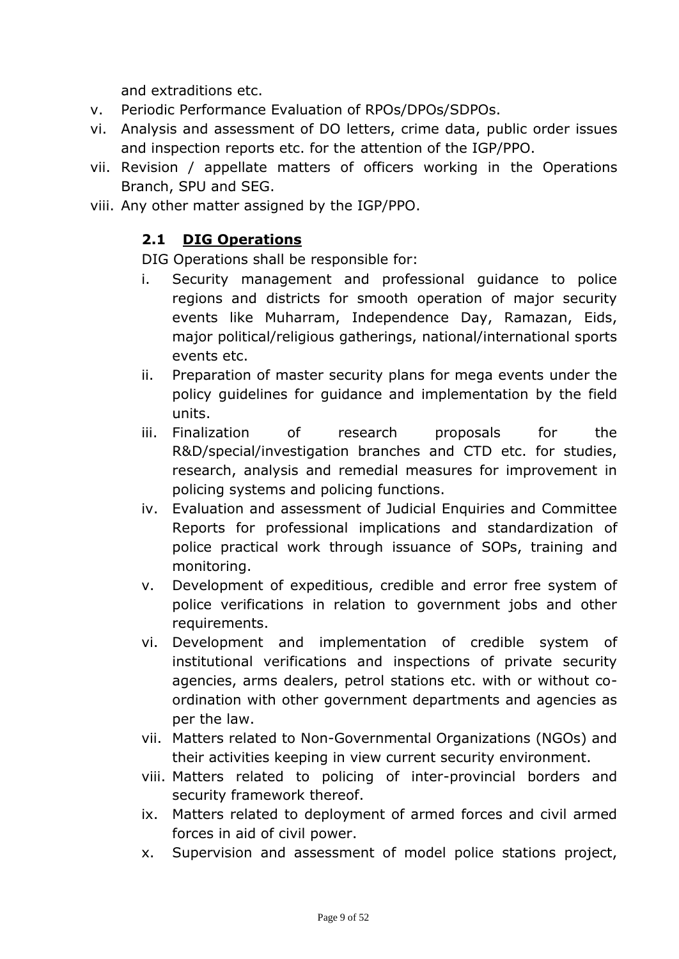and extraditions etc.

- v. Periodic Performance Evaluation of RPOs/DPOs/SDPOs.
- vi. Analysis and assessment of DO letters, crime data, public order issues and inspection reports etc. for the attention of the IGP/PPO.
- vii. Revision / appellate matters of officers working in the Operations Branch, SPU and SEG.
- viii. Any other matter assigned by the IGP/PPO.

#### **2.1 DIG Operations**

DIG Operations shall be responsible for:

- i. Security management and professional guidance to police regions and districts for smooth operation of major security events like Muharram, Independence Day, Ramazan, Eids, major political/religious gatherings, national/international sports events etc.
- ii. Preparation of master security plans for mega events under the policy guidelines for guidance and implementation by the field units.
- iii. Finalization of research proposals for the R&D/special/investigation branches and CTD etc. for studies, research, analysis and remedial measures for improvement in policing systems and policing functions.
- iv. Evaluation and assessment of Judicial Enquiries and Committee Reports for professional implications and standardization of police practical work through issuance of SOPs, training and monitoring.
- v. Development of expeditious, credible and error free system of police verifications in relation to government jobs and other requirements.
- vi. Development and implementation of credible system of institutional verifications and inspections of private security agencies, arms dealers, petrol stations etc. with or without coordination with other government departments and agencies as per the law.
- vii. Matters related to Non-Governmental Organizations (NGOs) and their activities keeping in view current security environment.
- viii. Matters related to policing of inter-provincial borders and security framework thereof.
- ix. Matters related to deployment of armed forces and civil armed forces in aid of civil power.
- x. Supervision and assessment of model police stations project,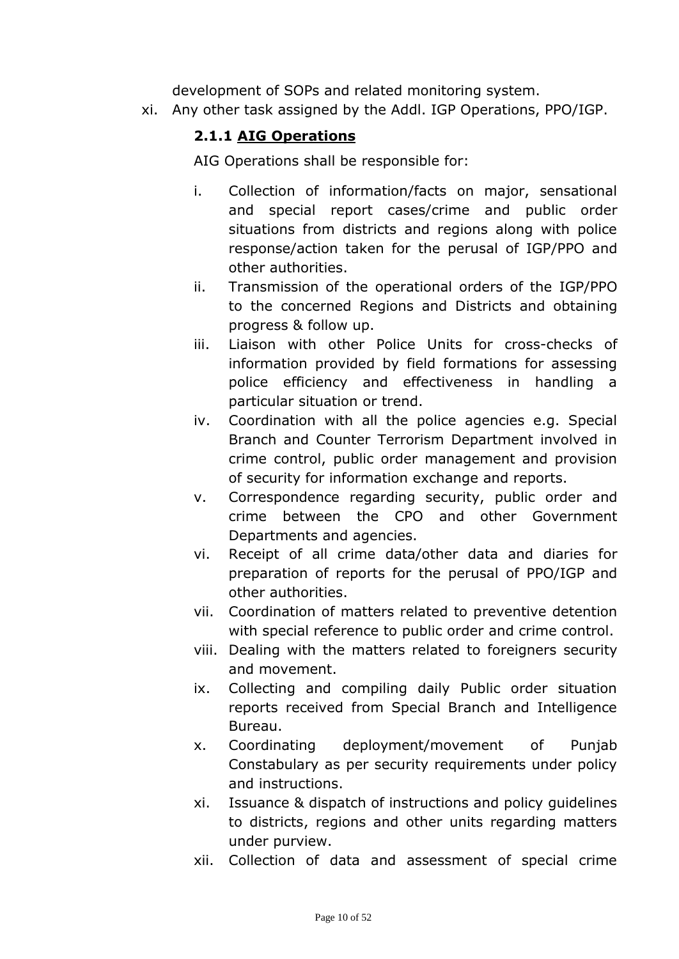development of SOPs and related monitoring system.

xi. Any other task assigned by the Addl. IGP Operations, PPO/IGP.

#### **2.1.1 AIG Operations**

AIG Operations shall be responsible for:

- i. Collection of information/facts on major, sensational and special report cases/crime and public order situations from districts and regions along with police response/action taken for the perusal of IGP/PPO and other authorities.
- ii. Transmission of the operational orders of the IGP/PPO to the concerned Regions and Districts and obtaining progress & follow up.
- iii. Liaison with other Police Units for cross-checks of information provided by field formations for assessing police efficiency and effectiveness in handling a particular situation or trend.
- iv. Coordination with all the police agencies e.g. Special Branch and Counter Terrorism Department involved in crime control, public order management and provision of security for information exchange and reports.
- v. Correspondence regarding security, public order and crime between the CPO and other Government Departments and agencies.
- vi. Receipt of all crime data/other data and diaries for preparation of reports for the perusal of PPO/IGP and other authorities.
- vii. Coordination of matters related to preventive detention with special reference to public order and crime control.
- viii. Dealing with the matters related to foreigners security and movement.
- ix. Collecting and compiling daily Public order situation reports received from Special Branch and Intelligence Bureau.
- x. Coordinating deployment/movement of Punjab Constabulary as per security requirements under policy and instructions.
- xi. Issuance & dispatch of instructions and policy guidelines to districts, regions and other units regarding matters under purview.
- xii. Collection of data and assessment of special crime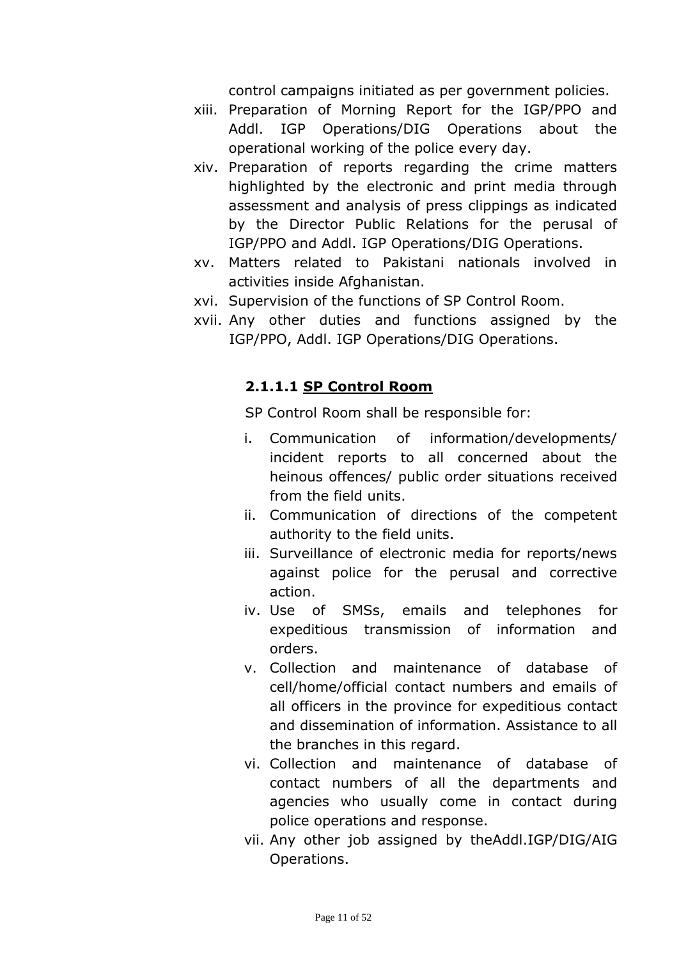control campaigns initiated as per government policies.

- xiii. Preparation of Morning Report for the IGP/PPO and Addl. IGP Operations/DIG Operations about the operational working of the police every day.
- xiv. Preparation of reports regarding the crime matters highlighted by the electronic and print media through assessment and analysis of press clippings as indicated by the Director Public Relations for the perusal of IGP/PPO and Addl. IGP Operations/DIG Operations.
- xv. Matters related to Pakistani nationals involved in activities inside Afghanistan.
- xvi. Supervision of the functions of SP Control Room.
- xvii. Any other duties and functions assigned by the IGP/PPO, Addl. IGP Operations/DIG Operations.

#### **2.1.1.1 SP Control Room**

SP Control Room shall be responsible for:

- i. Communication of information/developments/ incident reports to all concerned about the heinous offences/ public order situations received from the field units.
- ii. Communication of directions of the competent authority to the field units.
- iii. Surveillance of electronic media for reports/news against police for the perusal and corrective action.
- iv. Use of SMSs, emails and telephones for expeditious transmission of information and orders.
- v. Collection and maintenance of database of cell/home/official contact numbers and emails of all officers in the province for expeditious contact and dissemination of information. Assistance to all the branches in this regard.
- vi. Collection and maintenance of database of contact numbers of all the departments and agencies who usually come in contact during police operations and response.
- vii. Any other job assigned by theAddl.IGP/DIG/AIG Operations.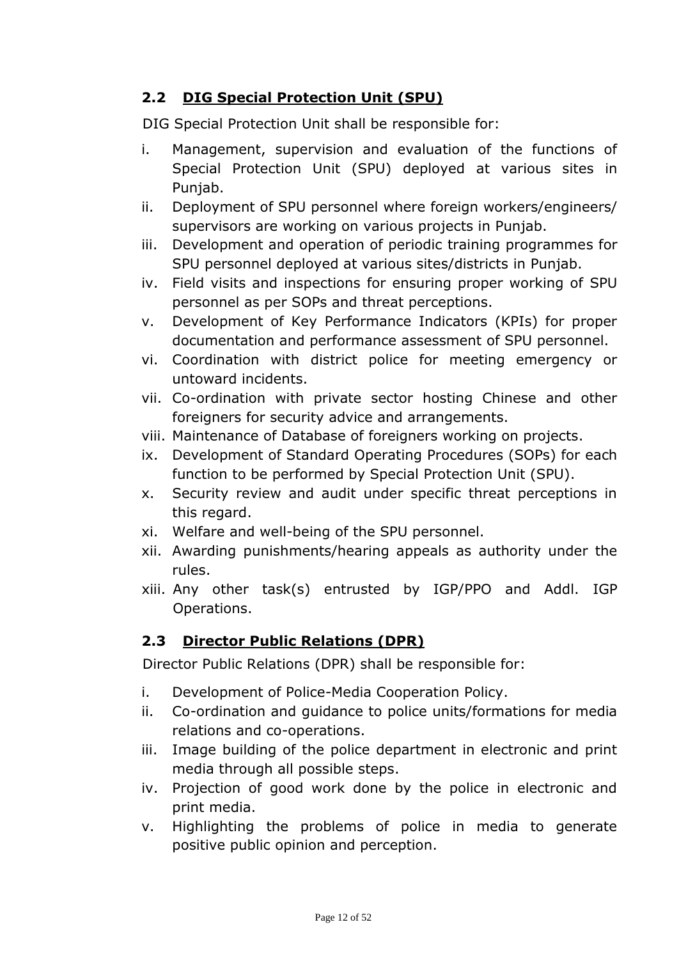## **2.2 DIG Special Protection Unit (SPU)**

DIG Special Protection Unit shall be responsible for:

- i. Management, supervision and evaluation of the functions of Special Protection Unit (SPU) deployed at various sites in Punjab.
- ii. Deployment of SPU personnel where foreign workers/engineers/ supervisors are working on various projects in Punjab.
- iii. Development and operation of periodic training programmes for SPU personnel deployed at various sites/districts in Punjab.
- iv. Field visits and inspections for ensuring proper working of SPU personnel as per SOPs and threat perceptions.
- v. Development of Key Performance Indicators (KPIs) for proper documentation and performance assessment of SPU personnel.
- vi. Coordination with district police for meeting emergency or untoward incidents.
- vii. Co-ordination with private sector hosting Chinese and other foreigners for security advice and arrangements.
- viii. Maintenance of Database of foreigners working on projects.
- ix. Development of Standard Operating Procedures (SOPs) for each function to be performed by Special Protection Unit (SPU).
- x. Security review and audit under specific threat perceptions in this regard.
- xi. Welfare and well-being of the SPU personnel.
- xii. Awarding punishments/hearing appeals as authority under the rules.
- xiii. Any other task(s) entrusted by IGP/PPO and Addl. IGP Operations.

## **2.3 Director Public Relations (DPR)**

Director Public Relations (DPR) shall be responsible for:

- i. Development of Police-Media Cooperation Policy.
- ii. Co-ordination and guidance to police units/formations for media relations and co-operations.
- iii. Image building of the police department in electronic and print media through all possible steps.
- iv. Projection of good work done by the police in electronic and print media.
- v. Highlighting the problems of police in media to generate positive public opinion and perception.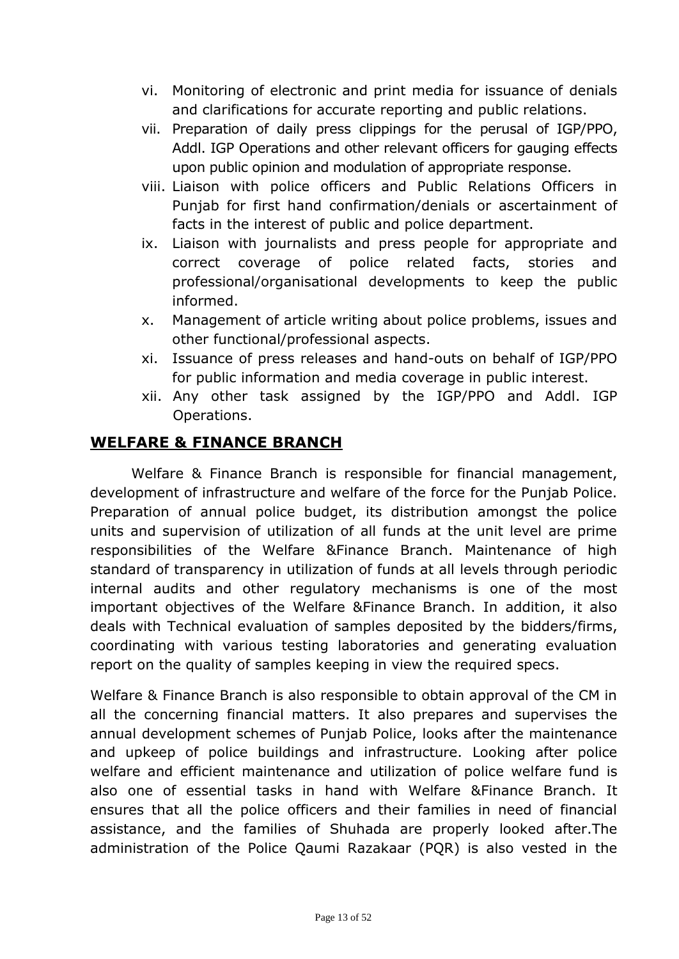- vi. Monitoring of electronic and print media for issuance of denials and clarifications for accurate reporting and public relations.
- vii. Preparation of daily press clippings for the perusal of IGP/PPO, Addl. IGP Operations and other relevant officers for gauging effects upon public opinion and modulation of appropriate response.
- viii. Liaison with police officers and Public Relations Officers in Punjab for first hand confirmation/denials or ascertainment of facts in the interest of public and police department.
- ix. Liaison with journalists and press people for appropriate and correct coverage of police related facts, stories and professional/organisational developments to keep the public informed.
- x. Management of article writing about police problems, issues and other functional/professional aspects.
- xi. Issuance of press releases and hand-outs on behalf of IGP/PPO for public information and media coverage in public interest.
- xii. Any other task assigned by the IGP/PPO and Addl. IGP Operations.

## **WELFARE & FINANCE BRANCH**

Welfare & Finance Branch is responsible for financial management, development of infrastructure and welfare of the force for the Punjab Police. Preparation of annual police budget, its distribution amongst the police units and supervision of utilization of all funds at the unit level are prime responsibilities of the Welfare &Finance Branch. Maintenance of high standard of transparency in utilization of funds at all levels through periodic internal audits and other regulatory mechanisms is one of the most important objectives of the Welfare &Finance Branch. In addition, it also deals with Technical evaluation of samples deposited by the bidders/firms, coordinating with various testing laboratories and generating evaluation report on the quality of samples keeping in view the required specs.

Welfare & Finance Branch is also responsible to obtain approval of the CM in all the concerning financial matters. It also prepares and supervises the annual development schemes of Punjab Police, looks after the maintenance and upkeep of police buildings and infrastructure. Looking after police welfare and efficient maintenance and utilization of police welfare fund is also one of essential tasks in hand with Welfare &Finance Branch. It ensures that all the police officers and their families in need of financial assistance, and the families of Shuhada are properly looked after.The administration of the Police Qaumi Razakaar (PQR) is also vested in the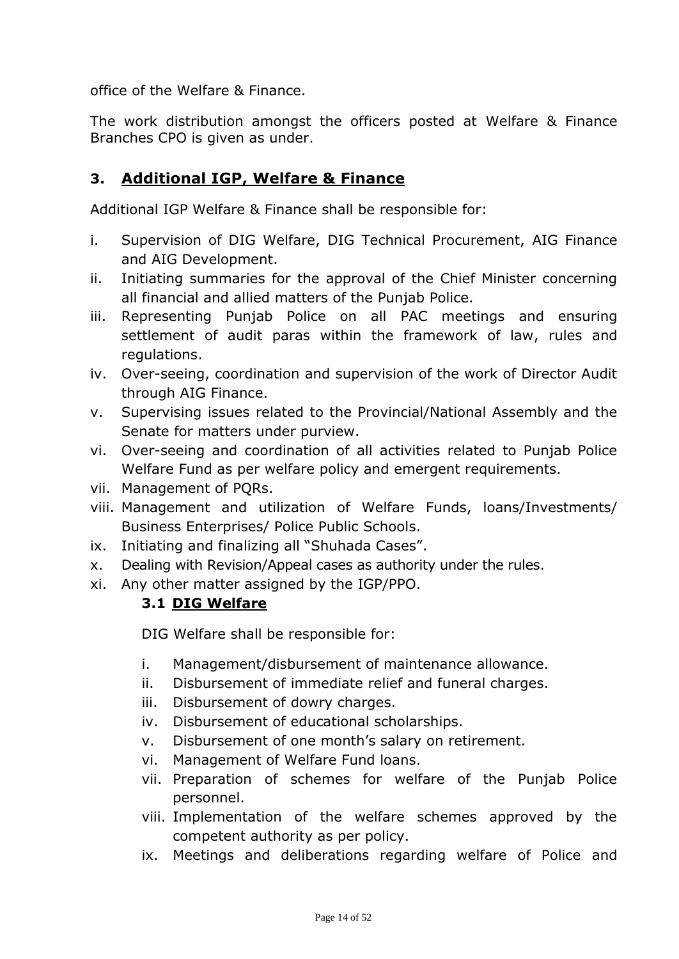office of the Welfare & Finance.

The work distribution amongst the officers posted at Welfare & Finance Branches CPO is given as under.

# **3. Additional IGP, Welfare & Finance**

Additional IGP Welfare & Finance shall be responsible for:

- i. Supervision of DIG Welfare, DIG Technical Procurement, AIG Finance and AIG Development.
- ii. Initiating summaries for the approval of the Chief Minister concerning all financial and allied matters of the Punjab Police.
- iii. Representing Punjab Police on all PAC meetings and ensuring settlement of audit paras within the framework of law, rules and regulations.
- iv. Over-seeing, coordination and supervision of the work of Director Audit through AIG Finance.
- v. Supervising issues related to the Provincial/National Assembly and the Senate for matters under purview.
- vi. Over-seeing and coordination of all activities related to Punjab Police Welfare Fund as per welfare policy and emergent requirements.
- vii. Management of PQRs.
- viii. Management and utilization of Welfare Funds, loans/Investments/ Business Enterprises/ Police Public Schools.
- ix. Initiating and finalizing all "Shuhada Cases".
- x. Dealing with Revision/Appeal cases as authority under the rules.
- xi. Any other matter assigned by the IGP/PPO.

#### **3.1 DIG Welfare**

DIG Welfare shall be responsible for:

- i. Management/disbursement of maintenance allowance.
- ii. Disbursement of immediate relief and funeral charges.
- iii. Disbursement of dowry charges.
- iv. Disbursement of educational scholarships.
- v. Disbursement of one month's salary on retirement.
- vi. Management of Welfare Fund loans.
- vii. Preparation of schemes for welfare of the Punjab Police personnel.
- viii. Implementation of the welfare schemes approved by the competent authority as per policy.
- ix. Meetings and deliberations regarding welfare of Police and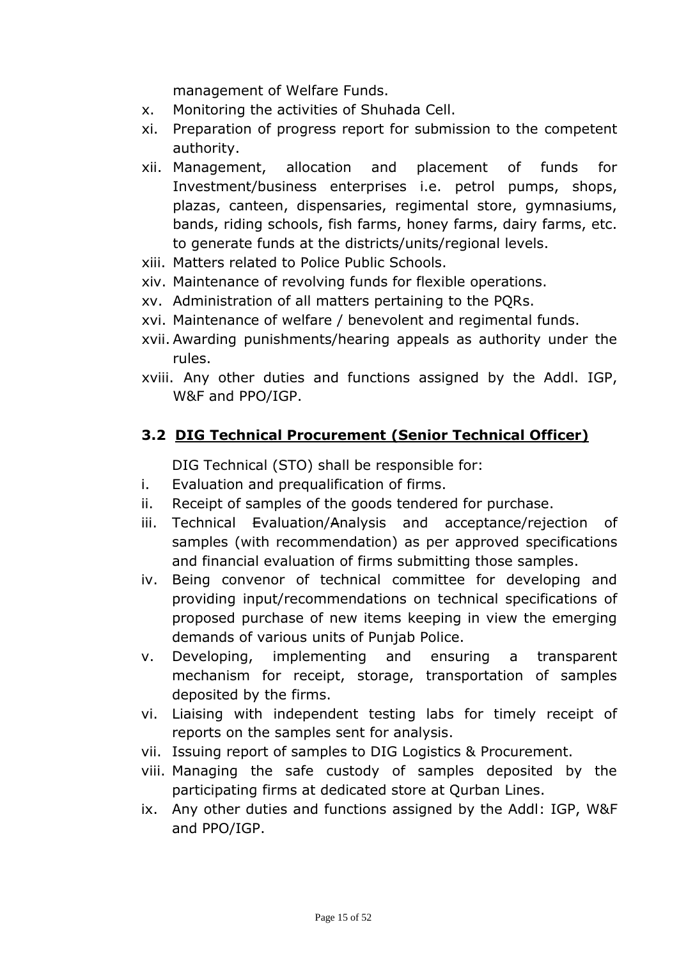management of Welfare Funds.

- x. Monitoring the activities of Shuhada Cell.
- xi. Preparation of progress report for submission to the competent authority.
- xii. Management, allocation and placement of funds for Investment/business enterprises i.e. petrol pumps, shops, plazas, canteen, dispensaries, regimental store, gymnasiums, bands, riding schools, fish farms, honey farms, dairy farms, etc. to generate funds at the districts/units/regional levels.
- xiii. Matters related to Police Public Schools.
- xiv. Maintenance of revolving funds for flexible operations.
- xv. Administration of all matters pertaining to the PQRs.
- xvi. Maintenance of welfare / benevolent and regimental funds.
- xvii. Awarding punishments/hearing appeals as authority under the rules.
- xviii. Any other duties and functions assigned by the Addl. IGP, W&F and PPO/IGP.

#### **3.2 DIG Technical Procurement (Senior Technical Officer)**

DIG Technical (STO) shall be responsible for:

- i. Evaluation and prequalification of firms.
- ii. Receipt of samples of the goods tendered for purchase.
- iii. Technical Evaluation/Analysis and acceptance/rejection of samples (with recommendation) as per approved specifications and financial evaluation of firms submitting those samples.
- iv. Being convenor of technical committee for developing and providing input/recommendations on technical specifications of proposed purchase of new items keeping in view the emerging demands of various units of Punjab Police.
- v. Developing, implementing and ensuring a transparent mechanism for receipt, storage, transportation of samples deposited by the firms.
- vi. Liaising with independent testing labs for timely receipt of reports on the samples sent for analysis.
- vii. Issuing report of samples to DIG Logistics & Procurement.
- viii. Managing the safe custody of samples deposited by the participating firms at dedicated store at Qurban Lines.
- ix. Any other duties and functions assigned by the Addl: IGP, W&F and PPO/IGP.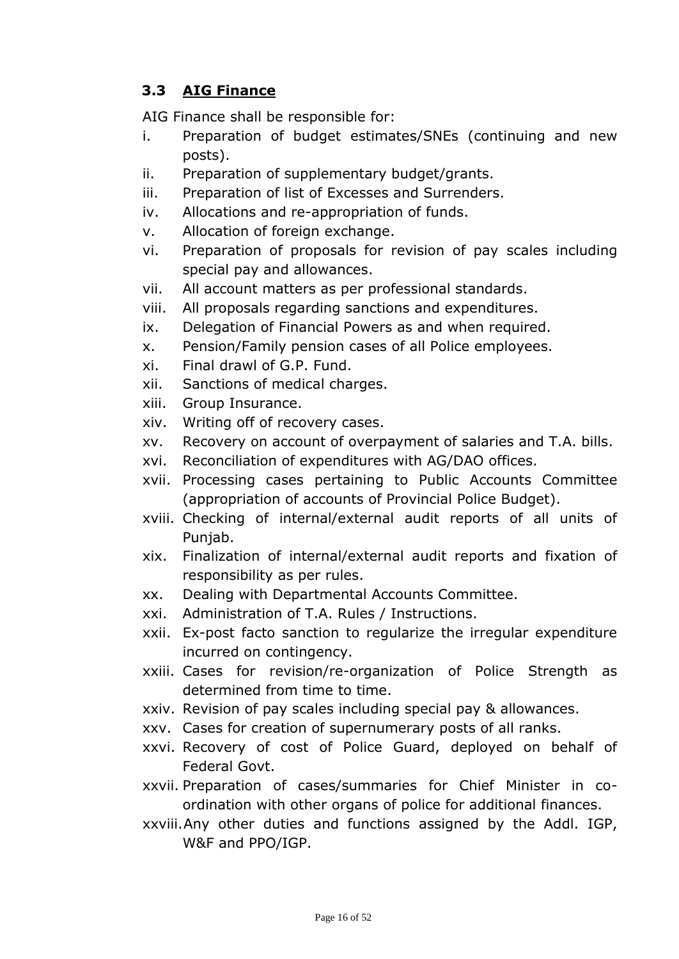# **3.3 AIG Finance**

AIG Finance shall be responsible for:

- i. Preparation of budget estimates/SNEs (continuing and new posts).
- ii. Preparation of supplementary budget/grants.
- iii. Preparation of list of Excesses and Surrenders.
- iv. Allocations and re-appropriation of funds.
- v. Allocation of foreign exchange.
- vi. Preparation of proposals for revision of pay scales including special pay and allowances.
- vii. All account matters as per professional standards.
- viii. All proposals regarding sanctions and expenditures.
- ix. Delegation of Financial Powers as and when required.
- x. Pension/Family pension cases of all Police employees.
- xi. Final drawl of G.P. Fund.
- xii. Sanctions of medical charges.
- xiii. Group Insurance.
- xiv. Writing off of recovery cases.
- xv. Recovery on account of overpayment of salaries and T.A. bills.
- xvi. Reconciliation of expenditures with AG/DAO offices.
- xvii. Processing cases pertaining to Public Accounts Committee (appropriation of accounts of Provincial Police Budget).
- xviii. Checking of internal/external audit reports of all units of Punjab.
- xix. Finalization of internal/external audit reports and fixation of responsibility as per rules.
- xx. Dealing with Departmental Accounts Committee.
- xxi. Administration of T.A. Rules / Instructions.
- xxii. Ex-post facto sanction to regularize the irregular expenditure incurred on contingency.
- xxiii. Cases for revision/re-organization of Police Strength as determined from time to time.
- xxiv. Revision of pay scales including special pay & allowances.
- xxv. Cases for creation of supernumerary posts of all ranks.
- xxvi. Recovery of cost of Police Guard, deployed on behalf of Federal Govt.
- xxvii. Preparation of cases/summaries for Chief Minister in coordination with other organs of police for additional finances.
- xxviii.Any other duties and functions assigned by the Addl. IGP, W&F and PPO/IGP.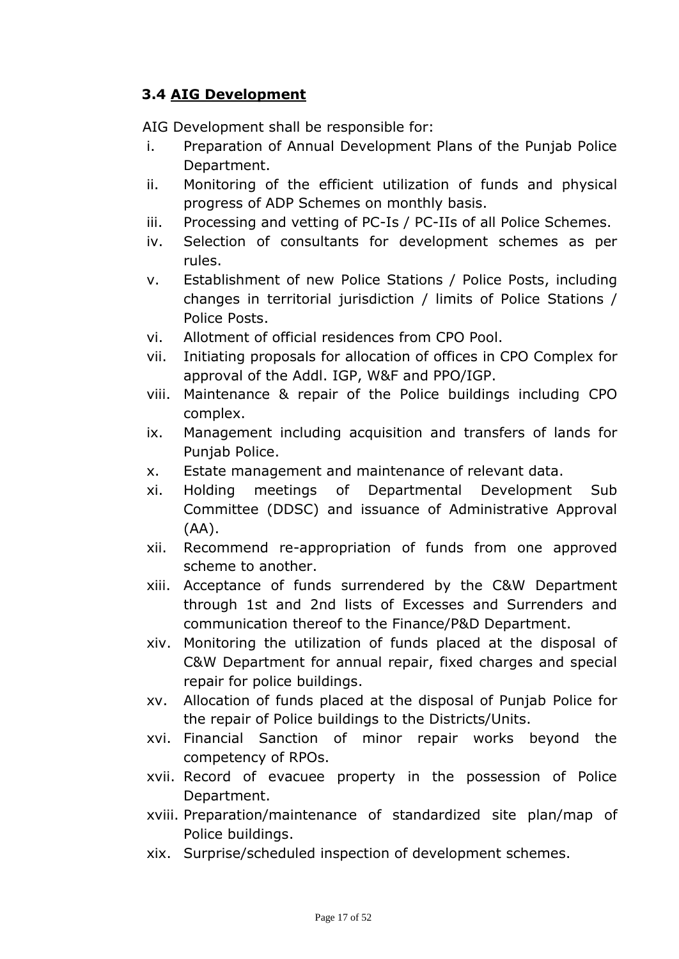## **3.4 AIG Development**

AIG Development shall be responsible for:

- i. Preparation of Annual Development Plans of the Punjab Police Department.
- ii. Monitoring of the efficient utilization of funds and physical progress of ADP Schemes on monthly basis.
- iii. Processing and vetting of PC-Is / PC-IIs of all Police Schemes.
- iv. Selection of consultants for development schemes as per rules.
- v. Establishment of new Police Stations / Police Posts, including changes in territorial jurisdiction / limits of Police Stations / Police Posts.
- vi. Allotment of official residences from CPO Pool.
- vii. Initiating proposals for allocation of offices in CPO Complex for approval of the Addl. IGP, W&F and PPO/IGP.
- viii. Maintenance & repair of the Police buildings including CPO complex.
- ix. Management including acquisition and transfers of lands for Punjab Police.
- x. Estate management and maintenance of relevant data.
- xi. Holding meetings of Departmental Development Sub Committee (DDSC) and issuance of Administrative Approval (AA).
- xii. Recommend re-appropriation of funds from one approved scheme to another.
- xiii. Acceptance of funds surrendered by the C&W Department through 1st and 2nd lists of Excesses and Surrenders and communication thereof to the Finance/P&D Department.
- xiv. Monitoring the utilization of funds placed at the disposal of C&W Department for annual repair, fixed charges and special repair for police buildings.
- xv. Allocation of funds placed at the disposal of Punjab Police for the repair of Police buildings to the Districts/Units.
- xvi. Financial Sanction of minor repair works beyond the competency of RPOs.
- xvii. Record of evacuee property in the possession of Police Department.
- xviii. Preparation/maintenance of standardized site plan/map of Police buildings.
- xix. Surprise/scheduled inspection of development schemes.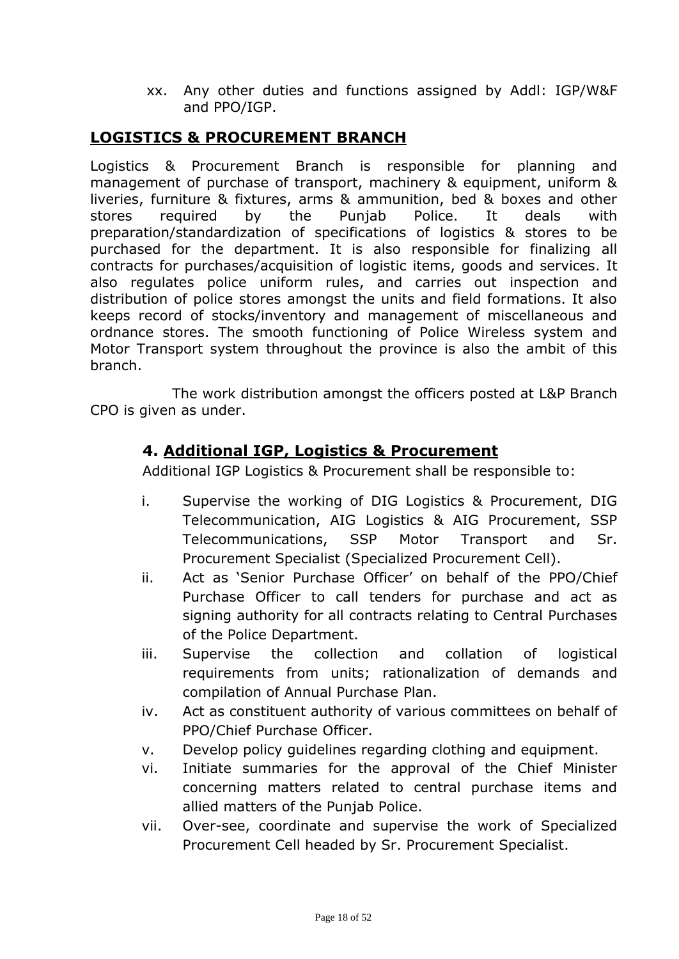xx. Any other duties and functions assigned by Addl: IGP/W&F and PPO/IGP.

#### **LOGISTICS & PROCUREMENT BRANCH**

Logistics & Procurement Branch is responsible for planning and management of purchase of transport, machinery & equipment, uniform & liveries, furniture & fixtures, arms & ammunition, bed & boxes and other stores required by the Punjab Police. It deals with preparation/standardization of specifications of logistics & stores to be purchased for the department. It is also responsible for finalizing all contracts for purchases/acquisition of logistic items, goods and services. It also regulates police uniform rules, and carries out inspection and distribution of police stores amongst the units and field formations. It also keeps record of stocks/inventory and management of miscellaneous and ordnance stores. The smooth functioning of Police Wireless system and Motor Transport system throughout the province is also the ambit of this branch.

The work distribution amongst the officers posted at L&P Branch CPO is given as under.

#### **4. Additional IGP, Logistics & Procurement**

Additional IGP Logistics & Procurement shall be responsible to:

- i. Supervise the working of DIG Logistics & Procurement, DIG Telecommunication, AIG Logistics & AIG Procurement, SSP Telecommunications, SSP Motor Transport and Sr. Procurement Specialist (Specialized Procurement Cell).
- ii. Act as 'Senior Purchase Officer' on behalf of the PPO/Chief Purchase Officer to call tenders for purchase and act as signing authority for all contracts relating to Central Purchases of the Police Department.
- iii. Supervise the collection and collation of logistical requirements from units; rationalization of demands and compilation of Annual Purchase Plan.
- iv. Act as constituent authority of various committees on behalf of PPO/Chief Purchase Officer.
- v. Develop policy guidelines regarding clothing and equipment.
- vi. Initiate summaries for the approval of the Chief Minister concerning matters related to central purchase items and allied matters of the Punjab Police.
- vii. Over-see, coordinate and supervise the work of Specialized Procurement Cell headed by Sr. Procurement Specialist.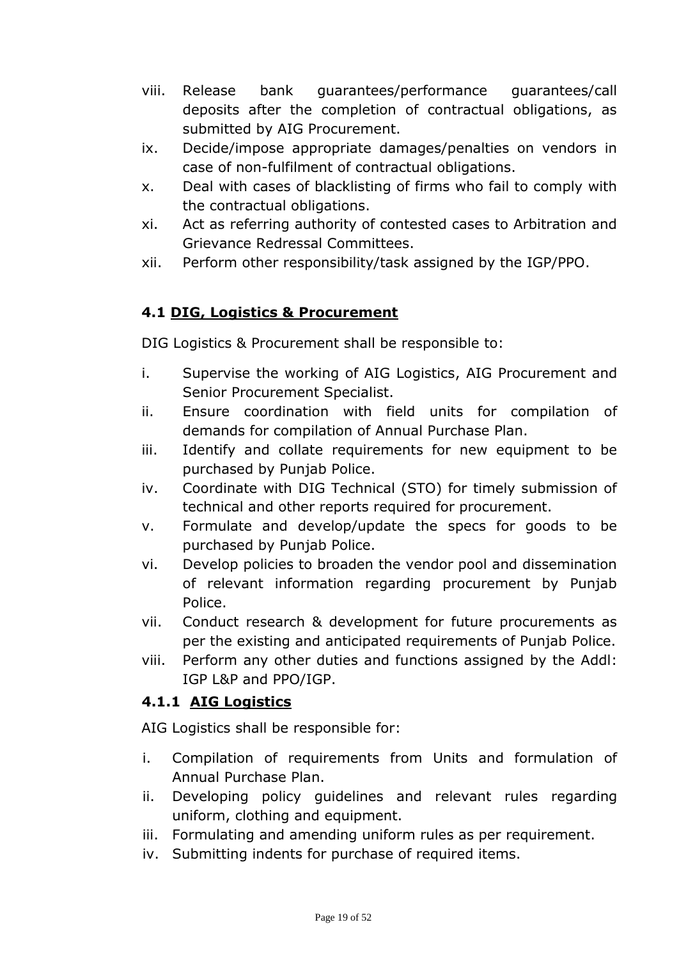- viii. Release bank guarantees/performance guarantees/call deposits after the completion of contractual obligations, as submitted by AIG Procurement.
- ix. Decide/impose appropriate damages/penalties on vendors in case of non-fulfilment of contractual obligations.
- x. Deal with cases of blacklisting of firms who fail to comply with the contractual obligations.
- xi. Act as referring authority of contested cases to Arbitration and Grievance Redressal Committees.
- xii. Perform other responsibility/task assigned by the IGP/PPO.

## **4.1 DIG, Logistics & Procurement**

DIG Logistics & Procurement shall be responsible to:

- i. Supervise the working of AIG Logistics, AIG Procurement and Senior Procurement Specialist.
- ii. Ensure coordination with field units for compilation of demands for compilation of Annual Purchase Plan.
- iii. Identify and collate requirements for new equipment to be purchased by Punjab Police.
- iv. Coordinate with DIG Technical (STO) for timely submission of technical and other reports required for procurement.
- v. Formulate and develop/update the specs for goods to be purchased by Punjab Police.
- vi. Develop policies to broaden the vendor pool and dissemination of relevant information regarding procurement by Punjab Police.
- vii. Conduct research & development for future procurements as per the existing and anticipated requirements of Punjab Police.
- viii. Perform any other duties and functions assigned by the Addl: IGP L&P and PPO/IGP.

## **4.1.1 AIG Logistics**

AIG Logistics shall be responsible for:

- i. Compilation of requirements from Units and formulation of Annual Purchase Plan.
- ii. Developing policy guidelines and relevant rules regarding uniform, clothing and equipment.
- iii. Formulating and amending uniform rules as per requirement.
- iv. Submitting indents for purchase of required items.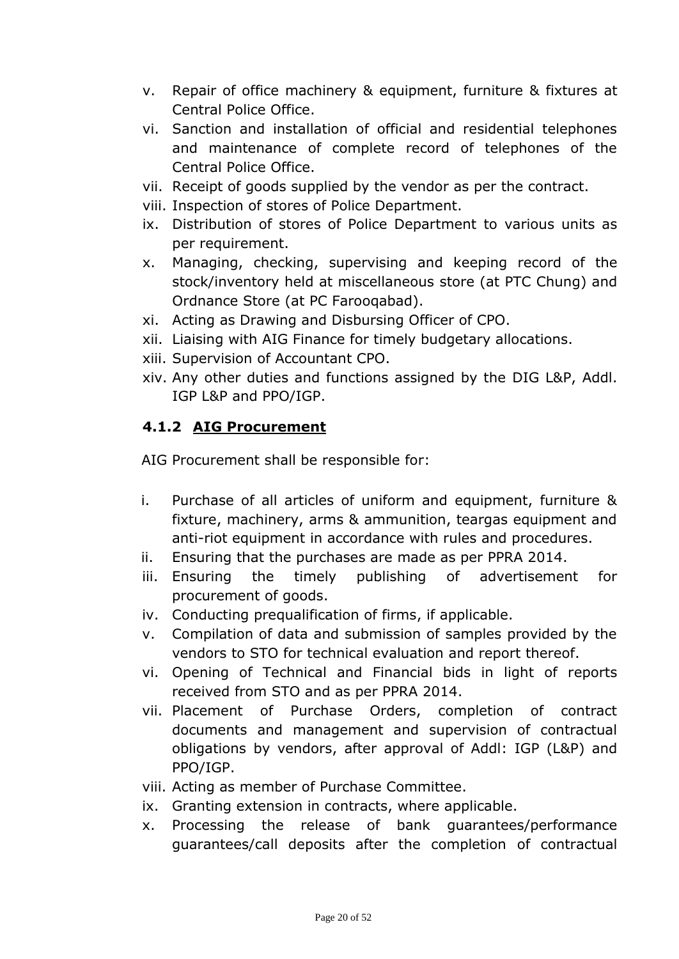- v. Repair of office machinery & equipment, furniture & fixtures at Central Police Office.
- vi. Sanction and installation of official and residential telephones and maintenance of complete record of telephones of the Central Police Office.
- vii. Receipt of goods supplied by the vendor as per the contract.
- viii. Inspection of stores of Police Department.
- ix. Distribution of stores of Police Department to various units as per requirement.
- x. Managing, checking, supervising and keeping record of the stock/inventory held at miscellaneous store (at PTC Chung) and Ordnance Store (at PC Farooqabad).
- xi. Acting as Drawing and Disbursing Officer of CPO.
- xii. Liaising with AIG Finance for timely budgetary allocations.
- xiii. Supervision of Accountant CPO.
- xiv. Any other duties and functions assigned by the DIG L&P, Addl. IGP L&P and PPO/IGP.

## **4.1.2 AIG Procurement**

AIG Procurement shall be responsible for:

- i. Purchase of all articles of uniform and equipment, furniture & fixture, machinery, arms & ammunition, teargas equipment and anti-riot equipment in accordance with rules and procedures.
- ii. Ensuring that the purchases are made as per PPRA 2014.
- iii. Ensuring the timely publishing of advertisement for procurement of goods.
- iv. Conducting prequalification of firms, if applicable.
- v. Compilation of data and submission of samples provided by the vendors to STO for technical evaluation and report thereof.
- vi. Opening of Technical and Financial bids in light of reports received from STO and as per PPRA 2014.
- vii. Placement of Purchase Orders, completion of contract documents and management and supervision of contractual obligations by vendors, after approval of Addl: IGP (L&P) and PPO/IGP.
- viii. Acting as member of Purchase Committee.
- ix. Granting extension in contracts, where applicable.
- x. Processing the release of bank guarantees/performance guarantees/call deposits after the completion of contractual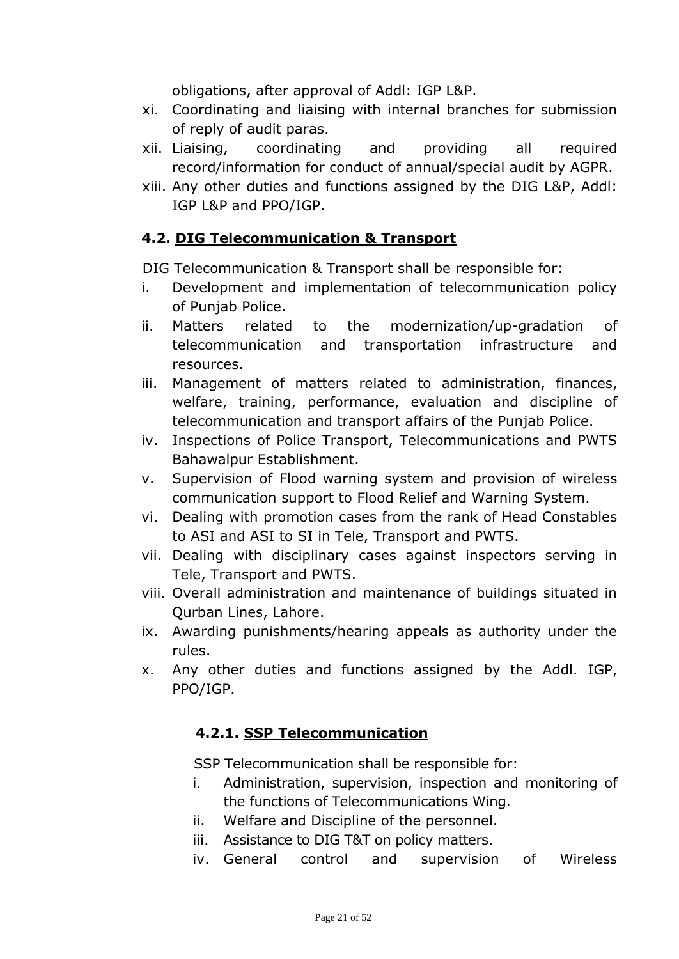obligations, after approval of Addl: IGP L&P.

- xi. Coordinating and liaising with internal branches for submission of reply of audit paras.
- xii. Liaising, coordinating and providing all required record/information for conduct of annual/special audit by AGPR.
- xiii. Any other duties and functions assigned by the DIG L&P, Addl: IGP L&P and PPO/IGP.

#### **4.2. DIG Telecommunication & Transport**

DIG Telecommunication & Transport shall be responsible for:

- i. Development and implementation of telecommunication policy of Punjab Police.
- ii. Matters related to the modernization/up-gradation of telecommunication and transportation infrastructure and resources.
- iii. Management of matters related to administration, finances, welfare, training, performance, evaluation and discipline of telecommunication and transport affairs of the Punjab Police.
- iv. Inspections of Police Transport, Telecommunications and PWTS Bahawalpur Establishment.
- v. Supervision of Flood warning system and provision of wireless communication support to Flood Relief and Warning System.
- vi. Dealing with promotion cases from the rank of Head Constables to ASI and ASI to SI in Tele, Transport and PWTS.
- vii. Dealing with disciplinary cases against inspectors serving in Tele, Transport and PWTS.
- viii. Overall administration and maintenance of buildings situated in Qurban Lines, Lahore.
- ix. Awarding punishments/hearing appeals as authority under the rules.
- x. Any other duties and functions assigned by the Addl. IGP, PPO/IGP.

#### **4.2.1. SSP Telecommunication**

SSP Telecommunication shall be responsible for:

- i. Administration, supervision, inspection and monitoring of the functions of Telecommunications Wing.
- ii. Welfare and Discipline of the personnel.
- iii. Assistance to DIG T&T on policy matters.
- iv. General control and supervision of Wireless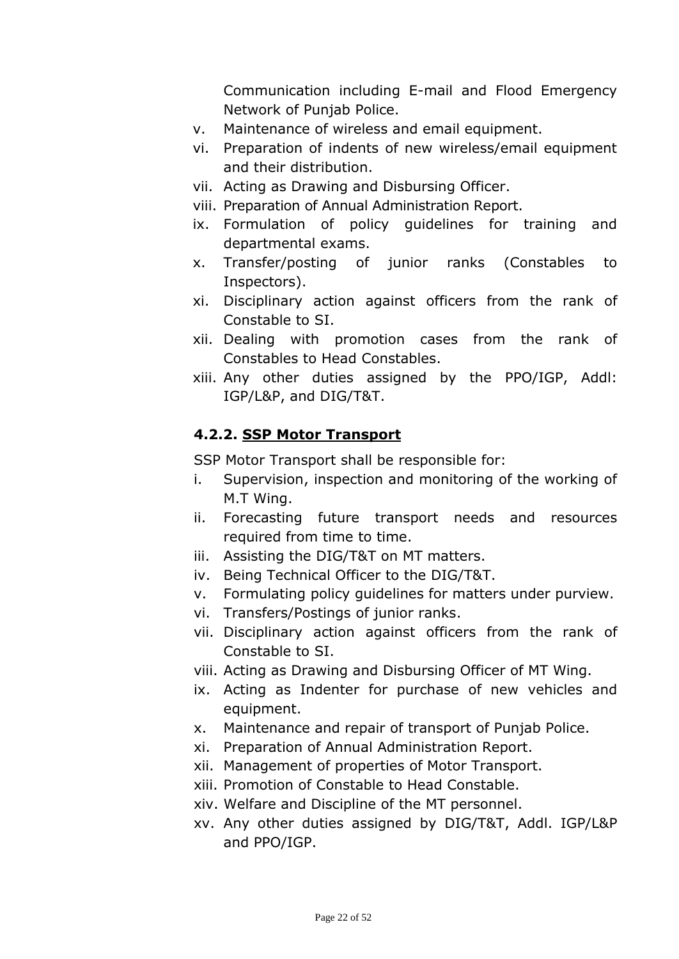Communication including E-mail and Flood Emergency Network of Punjab Police.

- v. Maintenance of wireless and email equipment.
- vi. Preparation of indents of new wireless/email equipment and their distribution.
- vii. Acting as Drawing and Disbursing Officer.
- viii. Preparation of Annual Administration Report.
- ix. Formulation of policy guidelines for training and departmental exams.
- x. Transfer/posting of junior ranks (Constables to Inspectors).
- xi. Disciplinary action against officers from the rank of Constable to SI.
- xii. Dealing with promotion cases from the rank of Constables to Head Constables.
- xiii. Any other duties assigned by the PPO/IGP, Addl: IGP/L&P, and DIG/T&T.

#### **4.2.2. SSP Motor Transport**

SSP Motor Transport shall be responsible for:

- i. Supervision, inspection and monitoring of the working of M.T Wing.
- ii. Forecasting future transport needs and resources required from time to time.
- iii. Assisting the DIG/T&T on MT matters.
- iv. Being Technical Officer to the DIG/T&T.
- v. Formulating policy guidelines for matters under purview.
- vi. Transfers/Postings of junior ranks.
- vii. Disciplinary action against officers from the rank of Constable to SI.
- viii. Acting as Drawing and Disbursing Officer of MT Wing.
- ix. Acting as Indenter for purchase of new vehicles and equipment.
- x. Maintenance and repair of transport of Punjab Police.
- xi. Preparation of Annual Administration Report.
- xii. Management of properties of Motor Transport.
- xiii. Promotion of Constable to Head Constable.
- xiv. Welfare and Discipline of the MT personnel.
- xv. Any other duties assigned by DIG/T&T, Addl. IGP/L&P and PPO/IGP.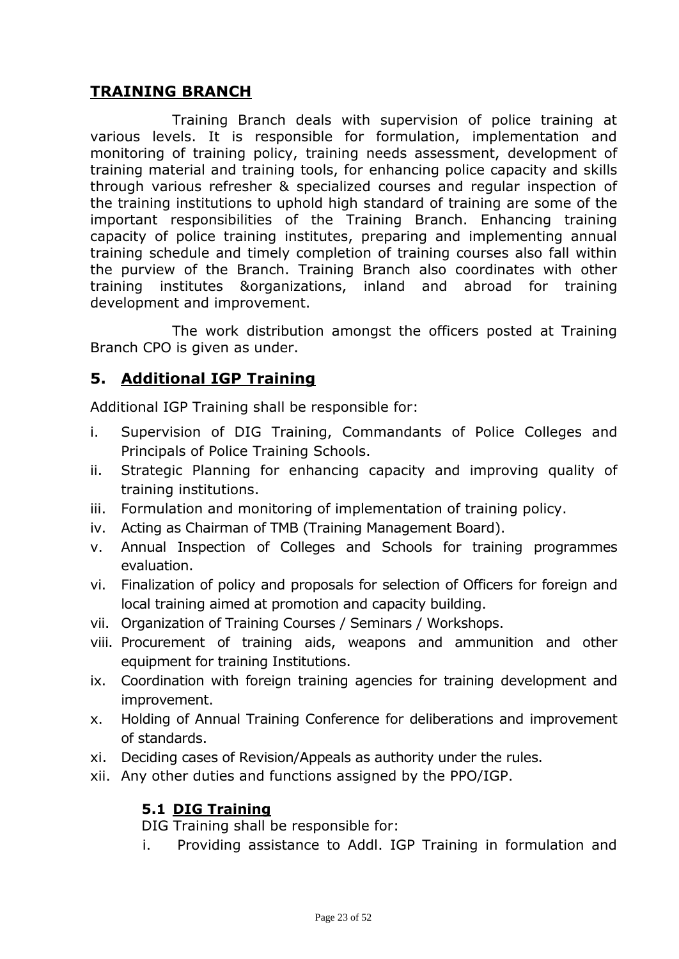#### **TRAINING BRANCH**

Training Branch deals with supervision of police training at various levels. It is responsible for formulation, implementation and monitoring of training policy, training needs assessment, development of training material and training tools, for enhancing police capacity and skills through various refresher & specialized courses and regular inspection of the training institutions to uphold high standard of training are some of the important responsibilities of the Training Branch. Enhancing training capacity of police training institutes, preparing and implementing annual training schedule and timely completion of training courses also fall within the purview of the Branch. Training Branch also coordinates with other training institutes &organizations, inland and abroad for training development and improvement.

The work distribution amongst the officers posted at Training Branch CPO is given as under.

# **5. Additional IGP Training**

Additional IGP Training shall be responsible for:

- i. Supervision of DIG Training, Commandants of Police Colleges and Principals of Police Training Schools.
- ii. Strategic Planning for enhancing capacity and improving quality of training institutions.
- iii. Formulation and monitoring of implementation of training policy.
- iv. Acting as Chairman of TMB (Training Management Board).
- v. Annual Inspection of Colleges and Schools for training programmes evaluation.
- vi. Finalization of policy and proposals for selection of Officers for foreign and local training aimed at promotion and capacity building.
- vii. Organization of Training Courses / Seminars / Workshops.
- viii. Procurement of training aids, weapons and ammunition and other equipment for training Institutions.
- ix. Coordination with foreign training agencies for training development and improvement.
- x. Holding of Annual Training Conference for deliberations and improvement of standards.
- xi. Deciding cases of Revision/Appeals as authority under the rules.
- xii. Any other duties and functions assigned by the PPO/IGP.

#### **5.1 DIG Training**

DIG Training shall be responsible for:

i. Providing assistance to Addl. IGP Training in formulation and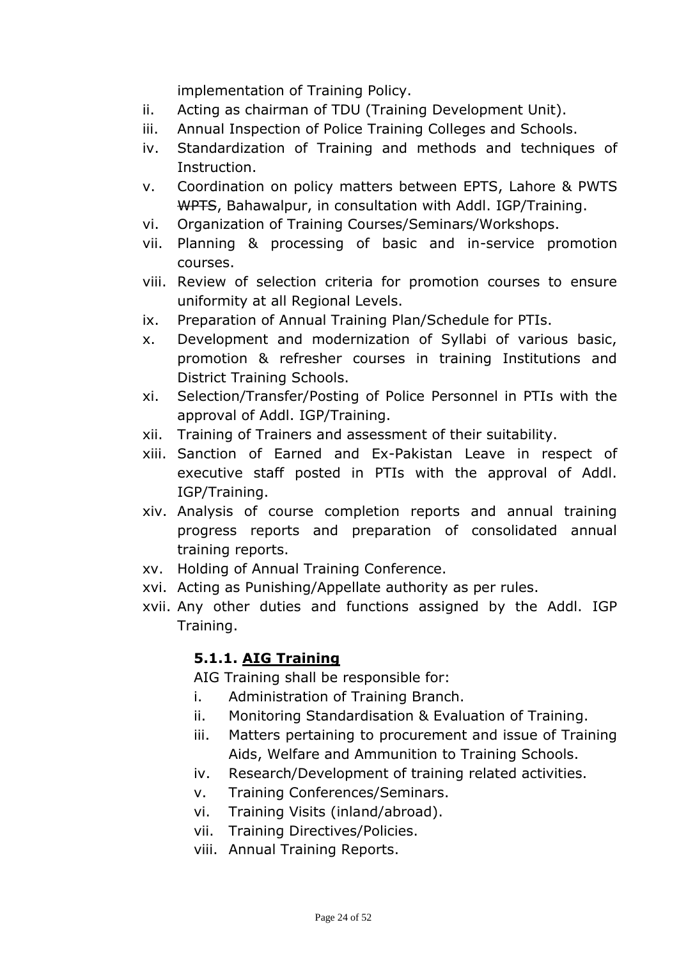implementation of Training Policy.

- ii. Acting as chairman of TDU (Training Development Unit).
- iii. Annual Inspection of Police Training Colleges and Schools.
- iv. Standardization of Training and methods and techniques of Instruction.
- v. Coordination on policy matters between EPTS, Lahore & PWTS WPTS, Bahawalpur, in consultation with Addl. IGP/Training.
- vi. Organization of Training Courses/Seminars/Workshops.
- vii. Planning & processing of basic and in-service promotion courses.
- viii. Review of selection criteria for promotion courses to ensure uniformity at all Regional Levels.
- ix. Preparation of Annual Training Plan/Schedule for PTIs.
- x. Development and modernization of Syllabi of various basic, promotion & refresher courses in training Institutions and District Training Schools.
- xi. Selection/Transfer/Posting of Police Personnel in PTIs with the approval of Addl. IGP/Training.
- xii. Training of Trainers and assessment of their suitability.
- xiii. Sanction of Earned and Ex-Pakistan Leave in respect of executive staff posted in PTIs with the approval of Addl. IGP/Training.
- xiv. Analysis of course completion reports and annual training progress reports and preparation of consolidated annual training reports.
- xv. Holding of Annual Training Conference.
- xvi. Acting as Punishing/Appellate authority as per rules.
- xvii. Any other duties and functions assigned by the Addl. IGP Training.

## **5.1.1. AIG Training**

AIG Training shall be responsible for:

- i. Administration of Training Branch.
- ii. Monitoring Standardisation & Evaluation of Training.
- iii. Matters pertaining to procurement and issue of Training Aids, Welfare and Ammunition to Training Schools.
- iv. Research/Development of training related activities.
- v. Training Conferences/Seminars.
- vi. Training Visits (inland/abroad).
- vii. Training Directives/Policies.
- viii. Annual Training Reports.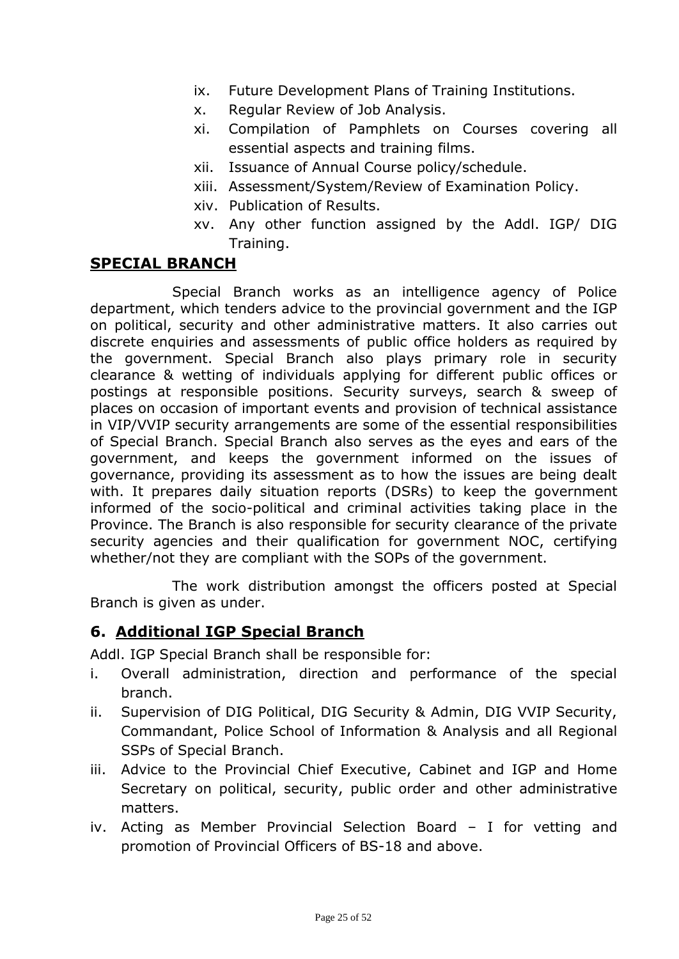- ix. Future Development Plans of Training Institutions.
- x. Regular Review of Job Analysis.
- xi. Compilation of Pamphlets on Courses covering all essential aspects and training films.
- xii. Issuance of Annual Course policy/schedule.
- xiii. Assessment/System/Review of Examination Policy.
- xiv. Publication of Results.
- xv. Any other function assigned by the Addl. IGP/ DIG Training.

#### **SPECIAL BRANCH**

Special Branch works as an intelligence agency of Police department, which tenders advice to the provincial government and the IGP on political, security and other administrative matters. It also carries out discrete enquiries and assessments of public office holders as required by the government. Special Branch also plays primary role in security clearance & wetting of individuals applying for different public offices or postings at responsible positions. Security surveys, search & sweep of places on occasion of important events and provision of technical assistance in VIP/VVIP security arrangements are some of the essential responsibilities of Special Branch. Special Branch also serves as the eyes and ears of the government, and keeps the government informed on the issues of governance, providing its assessment as to how the issues are being dealt with. It prepares daily situation reports (DSRs) to keep the government informed of the socio-political and criminal activities taking place in the Province. The Branch is also responsible for security clearance of the private security agencies and their qualification for government NOC, certifying whether/not they are compliant with the SOPs of the government.

The work distribution amongst the officers posted at Special Branch is given as under.

#### **6. Additional IGP Special Branch**

Addl. IGP Special Branch shall be responsible for:

- i. Overall administration, direction and performance of the special branch.
- ii. Supervision of DIG Political, DIG Security & Admin, DIG VVIP Security, Commandant, Police School of Information & Analysis and all Regional SSPs of Special Branch.
- iii. Advice to the Provincial Chief Executive, Cabinet and IGP and Home Secretary on political, security, public order and other administrative matters.
- iv. Acting as Member Provincial Selection Board I for vetting and promotion of Provincial Officers of BS-18 and above.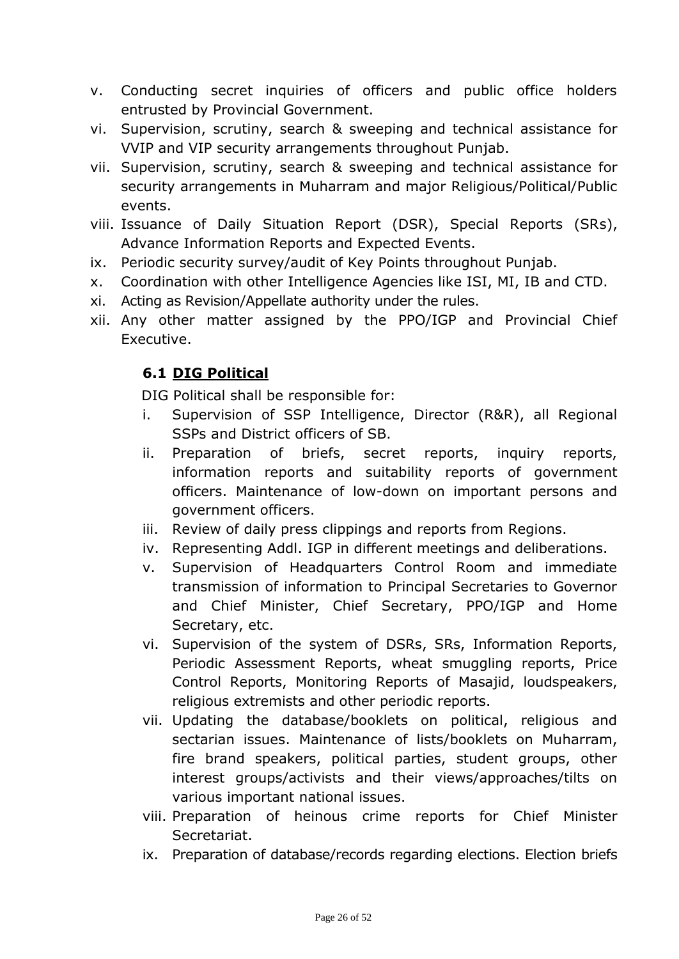- v. Conducting secret inquiries of officers and public office holders entrusted by Provincial Government.
- vi. Supervision, scrutiny, search & sweeping and technical assistance for VVIP and VIP security arrangements throughout Punjab.
- vii. Supervision, scrutiny, search & sweeping and technical assistance for security arrangements in Muharram and major Religious/Political/Public events.
- viii. Issuance of Daily Situation Report (DSR), Special Reports (SRs), Advance Information Reports and Expected Events.
- ix. Periodic security survey/audit of Key Points throughout Punjab.
- x. Coordination with other Intelligence Agencies like ISI, MI, IB and CTD.
- xi. Acting as Revision/Appellate authority under the rules.
- xii. Any other matter assigned by the PPO/IGP and Provincial Chief Executive.

# **6.1 DIG Political**

DIG Political shall be responsible for:

- i. Supervision of SSP Intelligence, Director (R&R), all Regional SSPs and District officers of SB.
- ii. Preparation of briefs, secret reports, inquiry reports, information reports and suitability reports of government officers. Maintenance of low-down on important persons and government officers.
- iii. Review of daily press clippings and reports from Regions.
- iv. Representing Addl. IGP in different meetings and deliberations.
- v. Supervision of Headquarters Control Room and immediate transmission of information to Principal Secretaries to Governor and Chief Minister, Chief Secretary, PPO/IGP and Home Secretary, etc.
- vi. Supervision of the system of DSRs, SRs, Information Reports, Periodic Assessment Reports, wheat smuggling reports, Price Control Reports, Monitoring Reports of Masajid, loudspeakers, religious extremists and other periodic reports.
- vii. Updating the database/booklets on political, religious and sectarian issues. Maintenance of lists/booklets on Muharram, fire brand speakers, political parties, student groups, other interest groups/activists and their views/approaches/tilts on various important national issues.
- viii. Preparation of heinous crime reports for Chief Minister Secretariat.
- ix. Preparation of database/records regarding elections. Election briefs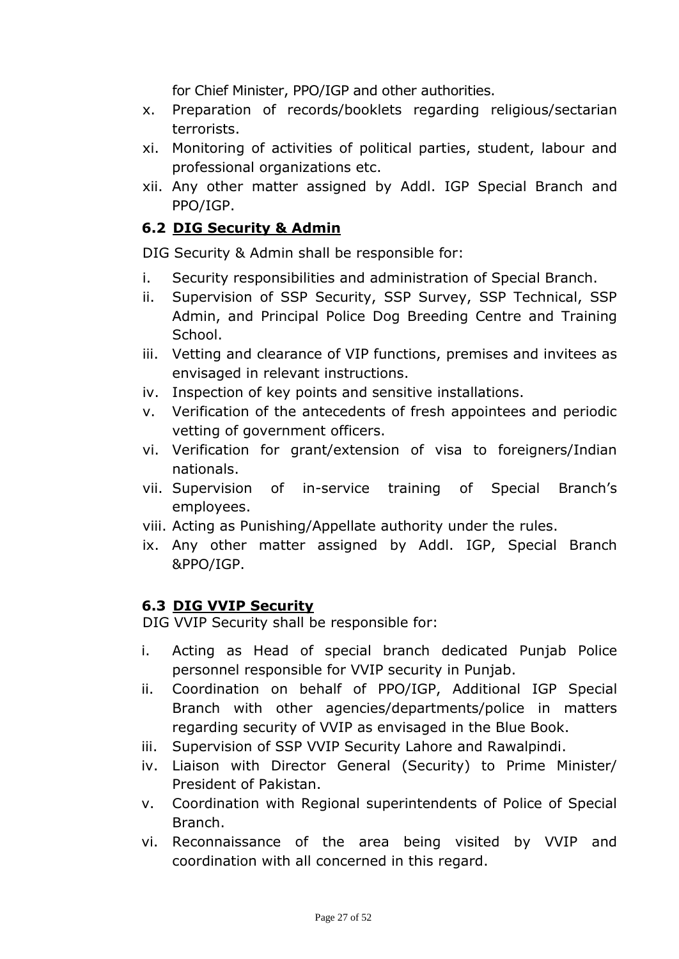for Chief Minister, PPO/IGP and other authorities.

- x. Preparation of records/booklets regarding religious/sectarian terrorists.
- xi. Monitoring of activities of political parties, student, labour and professional organizations etc.
- xii. Any other matter assigned by Addl. IGP Special Branch and PPO/IGP.

## **6.2 DIG Security & Admin**

DIG Security & Admin shall be responsible for:

- i. Security responsibilities and administration of Special Branch.
- ii. Supervision of SSP Security, SSP Survey, SSP Technical, SSP Admin, and Principal Police Dog Breeding Centre and Training School.
- iii. Vetting and clearance of VIP functions, premises and invitees as envisaged in relevant instructions.
- iv. Inspection of key points and sensitive installations.
- v. Verification of the antecedents of fresh appointees and periodic vetting of government officers.
- vi. Verification for grant/extension of visa to foreigners/Indian nationals.
- vii. Supervision of in-service training of Special Branch's employees.
- viii. Acting as Punishing/Appellate authority under the rules.
- ix. Any other matter assigned by Addl. IGP, Special Branch &PPO/IGP.

# **6.3 DIG VVIP Security**

DIG VVIP Security shall be responsible for:

- i. Acting as Head of special branch dedicated Punjab Police personnel responsible for VVIP security in Punjab.
- ii. Coordination on behalf of PPO/IGP, Additional IGP Special Branch with other agencies/departments/police in matters regarding security of VVIP as envisaged in the Blue Book.
- iii. Supervision of SSP VVIP Security Lahore and Rawalpindi.
- iv. Liaison with Director General (Security) to Prime Minister/ President of Pakistan.
- v. Coordination with Regional superintendents of Police of Special Branch.
- vi. Reconnaissance of the area being visited by VVIP and coordination with all concerned in this regard.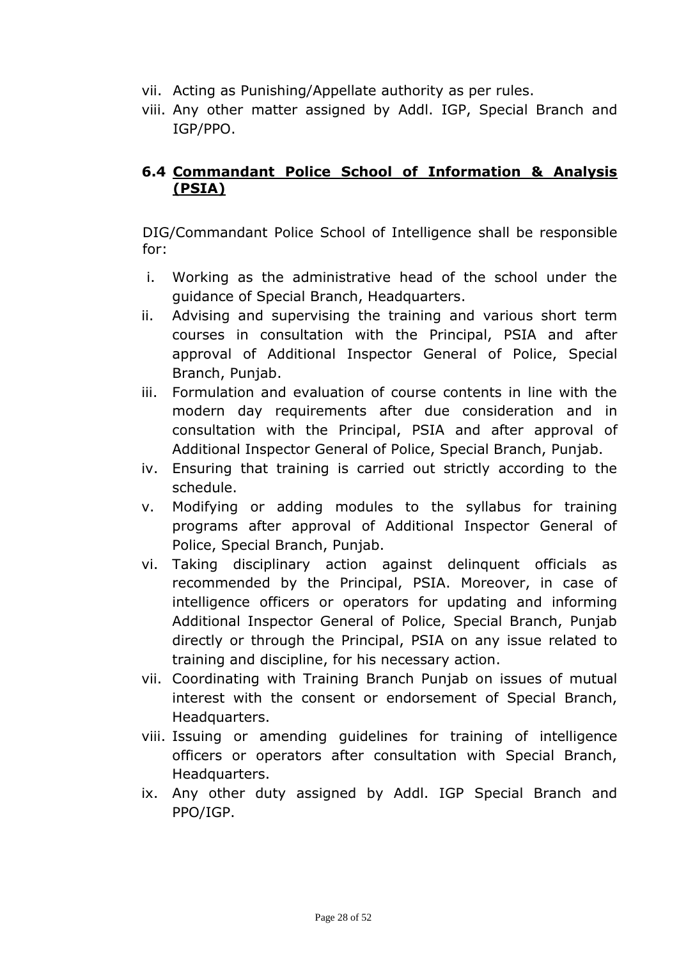- vii. Acting as Punishing/Appellate authority as per rules.
- viii. Any other matter assigned by Addl. IGP, Special Branch and IGP/PPO.

#### **6.4 Commandant Police School of Information & Analysis (PSIA)**

DIG/Commandant Police School of Intelligence shall be responsible for:

- i. Working as the administrative head of the school under the guidance of Special Branch, Headquarters.
- ii. Advising and supervising the training and various short term courses in consultation with the Principal, PSIA and after approval of Additional Inspector General of Police, Special Branch, Punjab.
- iii. Formulation and evaluation of course contents in line with the modern day requirements after due consideration and in consultation with the Principal, PSIA and after approval of Additional Inspector General of Police, Special Branch, Punjab.
- iv. Ensuring that training is carried out strictly according to the schedule.
- v. Modifying or adding modules to the syllabus for training programs after approval of Additional Inspector General of Police, Special Branch, Punjab.
- vi. Taking disciplinary action against delinquent officials as recommended by the Principal, PSIA. Moreover, in case of intelligence officers or operators for updating and informing Additional Inspector General of Police, Special Branch, Punjab directly or through the Principal, PSIA on any issue related to training and discipline, for his necessary action.
- vii. Coordinating with Training Branch Punjab on issues of mutual interest with the consent or endorsement of Special Branch, Headquarters.
- viii. Issuing or amending guidelines for training of intelligence officers or operators after consultation with Special Branch, Headquarters.
- ix. Any other duty assigned by Addl. IGP Special Branch and PPO/IGP.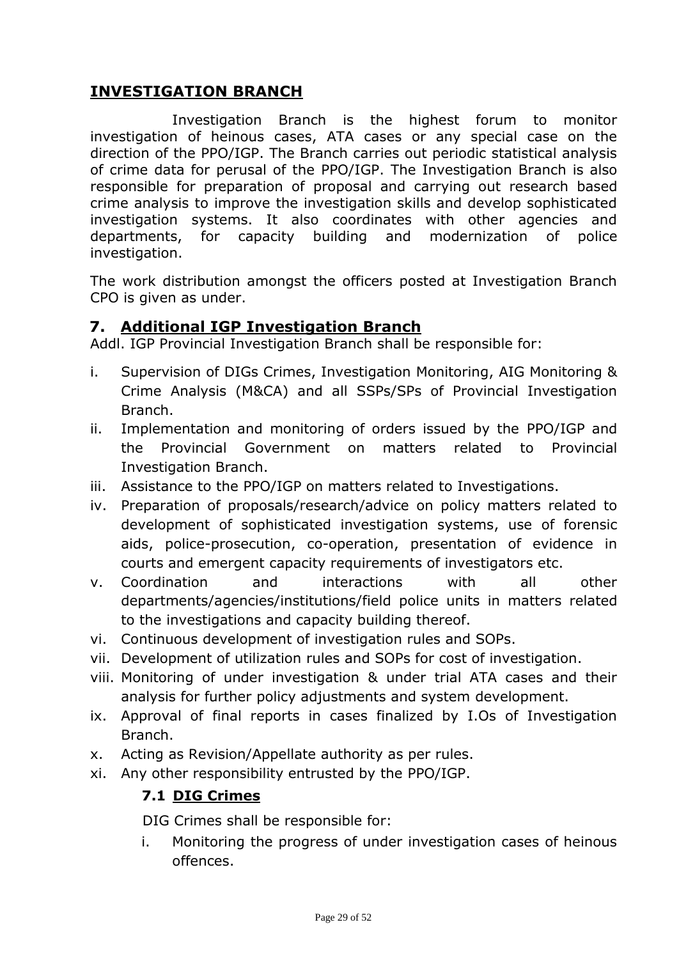#### **INVESTIGATION BRANCH**

Investigation Branch is the highest forum to monitor investigation of heinous cases, ATA cases or any special case on the direction of the PPO/IGP. The Branch carries out periodic statistical analysis of crime data for perusal of the PPO/IGP. The Investigation Branch is also responsible for preparation of proposal and carrying out research based crime analysis to improve the investigation skills and develop sophisticated investigation systems. It also coordinates with other agencies and departments, for capacity building and modernization of police investigation.

The work distribution amongst the officers posted at Investigation Branch CPO is given as under.

#### **7. Additional IGP Investigation Branch**

Addl. IGP Provincial Investigation Branch shall be responsible for:

- i. Supervision of DIGs Crimes, Investigation Monitoring, AIG Monitoring & Crime Analysis (M&CA) and all SSPs/SPs of Provincial Investigation Branch.
- ii. Implementation and monitoring of orders issued by the PPO/IGP and the Provincial Government on matters related to Provincial Investigation Branch.
- iii. Assistance to the PPO/IGP on matters related to Investigations.
- iv. Preparation of proposals/research/advice on policy matters related to development of sophisticated investigation systems, use of forensic aids, police-prosecution, co-operation, presentation of evidence in courts and emergent capacity requirements of investigators etc.
- v. Coordination and interactions with all other departments/agencies/institutions/field police units in matters related to the investigations and capacity building thereof.
- vi. Continuous development of investigation rules and SOPs.
- vii. Development of utilization rules and SOPs for cost of investigation.
- viii. Monitoring of under investigation & under trial ATA cases and their analysis for further policy adjustments and system development.
- ix. Approval of final reports in cases finalized by I.Os of Investigation Branch.
- x. Acting as Revision/Appellate authority as per rules.
- xi. Any other responsibility entrusted by the PPO/IGP.

#### **7.1 DIG Crimes**

DIG Crimes shall be responsible for:

i. Monitoring the progress of under investigation cases of heinous offences.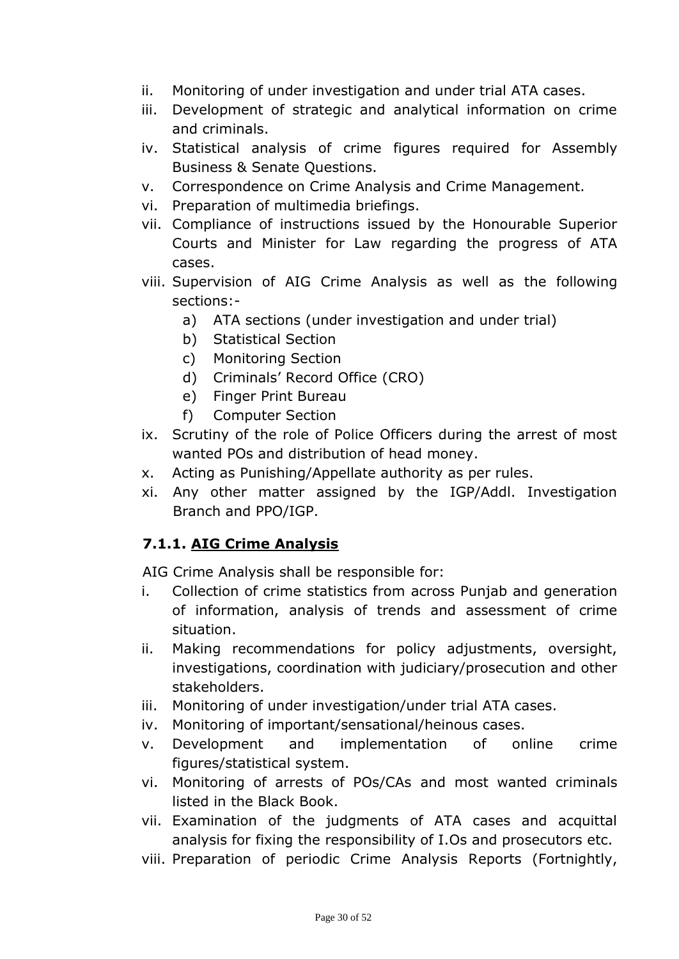- ii. Monitoring of under investigation and under trial ATA cases.
- iii. Development of strategic and analytical information on crime and criminals.
- iv. Statistical analysis of crime figures required for Assembly Business & Senate Questions.
- v. Correspondence on Crime Analysis and Crime Management.
- vi. Preparation of multimedia briefings.
- vii. Compliance of instructions issued by the Honourable Superior Courts and Minister for Law regarding the progress of ATA cases.
- viii. Supervision of AIG Crime Analysis as well as the following sections:
	- a) ATA sections (under investigation and under trial)
	- b) Statistical Section
	- c) Monitoring Section
	- d) Criminals' Record Office (CRO)
	- e) Finger Print Bureau
	- f) Computer Section
- ix. Scrutiny of the role of Police Officers during the arrest of most wanted POs and distribution of head money.
- x. Acting as Punishing/Appellate authority as per rules.
- xi. Any other matter assigned by the IGP/Addl. Investigation Branch and PPO/IGP.

## **7.1.1. AIG Crime Analysis**

AIG Crime Analysis shall be responsible for:

- i. Collection of crime statistics from across Punjab and generation of information, analysis of trends and assessment of crime situation.
- ii. Making recommendations for policy adjustments, oversight, investigations, coordination with judiciary/prosecution and other stakeholders.
- iii. Monitoring of under investigation/under trial ATA cases.
- iv. Monitoring of important/sensational/heinous cases.
- v. Development and implementation of online crime figures/statistical system.
- vi. Monitoring of arrests of POs/CAs and most wanted criminals listed in the Black Book.
- vii. Examination of the judgments of ATA cases and acquittal analysis for fixing the responsibility of I.Os and prosecutors etc.
- viii. Preparation of periodic Crime Analysis Reports (Fortnightly,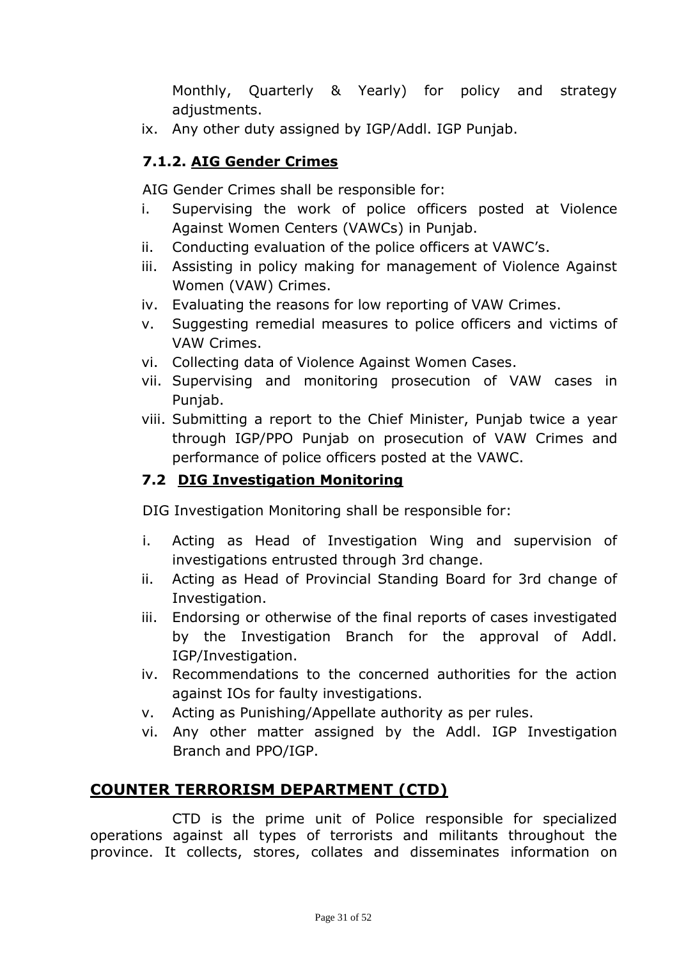Monthly, Quarterly & Yearly) for policy and strategy adjustments.

ix. Any other duty assigned by IGP/Addl. IGP Punjab.

#### **7.1.2. AIG Gender Crimes**

AIG Gender Crimes shall be responsible for:

- i. Supervising the work of police officers posted at Violence Against Women Centers (VAWCs) in Punjab.
- ii. Conducting evaluation of the police officers at VAWC's.
- iii. Assisting in policy making for management of Violence Against Women (VAW) Crimes.
- iv. Evaluating the reasons for low reporting of VAW Crimes.
- v. Suggesting remedial measures to police officers and victims of VAW Crimes.
- vi. Collecting data of Violence Against Women Cases.
- vii. Supervising and monitoring prosecution of VAW cases in Punjab.
- viii. Submitting a report to the Chief Minister, Punjab twice a year through IGP/PPO Punjab on prosecution of VAW Crimes and performance of police officers posted at the VAWC.

#### **7.2 DIG Investigation Monitoring**

DIG Investigation Monitoring shall be responsible for:

- i. Acting as Head of Investigation Wing and supervision of investigations entrusted through 3rd change.
- ii. Acting as Head of Provincial Standing Board for 3rd change of Investigation.
- iii. Endorsing or otherwise of the final reports of cases investigated by the Investigation Branch for the approval of Addl. IGP/Investigation.
- iv. Recommendations to the concerned authorities for the action against IOs for faulty investigations.
- v. Acting as Punishing/Appellate authority as per rules.
- vi. Any other matter assigned by the Addl. IGP Investigation Branch and PPO/IGP.

## **COUNTER TERRORISM DEPARTMENT (CTD)**

CTD is the prime unit of Police responsible for specialized operations against all types of terrorists and militants throughout the province. It collects, stores, collates and disseminates information on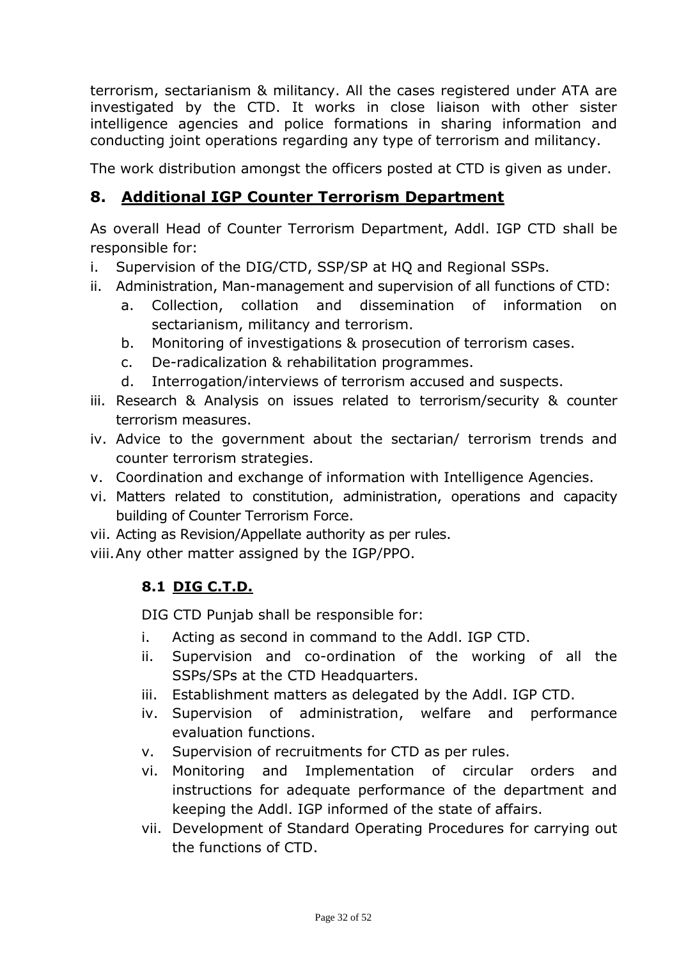terrorism, sectarianism & militancy. All the cases registered under ATA are investigated by the CTD. It works in close liaison with other sister intelligence agencies and police formations in sharing information and conducting joint operations regarding any type of terrorism and militancy.

The work distribution amongst the officers posted at CTD is given as under.

# **8. Additional IGP Counter Terrorism Department**

As overall Head of Counter Terrorism Department, Addl. IGP CTD shall be responsible for:

- i. Supervision of the DIG/CTD, SSP/SP at HQ and Regional SSPs.
- ii. Administration, Man-management and supervision of all functions of CTD:
	- a. Collection, collation and dissemination of information on sectarianism, militancy and terrorism.
	- b. Monitoring of investigations & prosecution of terrorism cases.
	- c. De-radicalization & rehabilitation programmes.
	- d. Interrogation/interviews of terrorism accused and suspects.
- iii. Research & Analysis on issues related to terrorism/security & counter terrorism measures.
- iv. Advice to the government about the sectarian/ terrorism trends and counter terrorism strategies.
- v. Coordination and exchange of information with Intelligence Agencies.
- vi. Matters related to constitution, administration, operations and capacity building of Counter Terrorism Force.
- vii. Acting as Revision/Appellate authority as per rules.
- viii.Any other matter assigned by the IGP/PPO.

# **8.1 DIG C.T.D.**

DIG CTD Punjab shall be responsible for:

- i. Acting as second in command to the Addl. IGP CTD.
- ii. Supervision and co-ordination of the working of all the SSPs/SPs at the CTD Headquarters.
- iii. Establishment matters as delegated by the Addl. IGP CTD.
- iv. Supervision of administration, welfare and performance evaluation functions.
- v. Supervision of recruitments for CTD as per rules.
- vi. Monitoring and Implementation of circular orders and instructions for adequate performance of the department and keeping the Addl. IGP informed of the state of affairs.
- vii. Development of Standard Operating Procedures for carrying out the functions of CTD.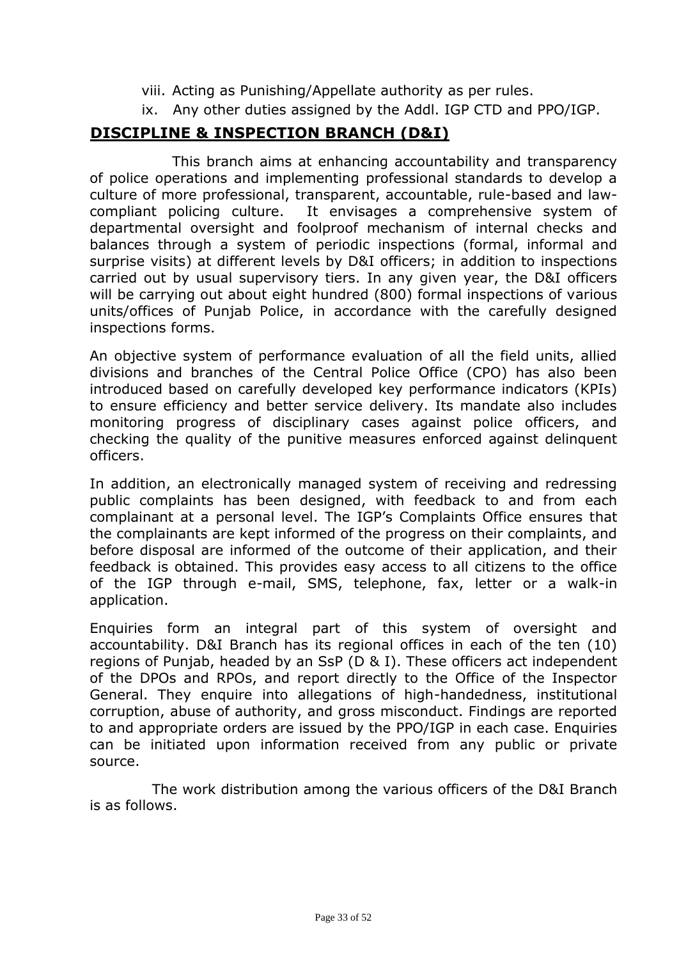- viii. Acting as Punishing/Appellate authority as per rules.
- ix. Any other duties assigned by the Addl. IGP CTD and PPO/IGP.

## **DISCIPLINE & INSPECTION BRANCH (D&I)**

This branch aims at enhancing accountability and transparency of police operations and implementing professional standards to develop a culture of more professional, transparent, accountable, rule-based and lawcompliant policing culture. It envisages a comprehensive system of departmental oversight and foolproof mechanism of internal checks and balances through a system of periodic inspections (formal, informal and surprise visits) at different levels by D&I officers; in addition to inspections carried out by usual supervisory tiers. In any given year, the D&I officers will be carrying out about eight hundred (800) formal inspections of various units/offices of Punjab Police, in accordance with the carefully designed inspections forms.

An objective system of performance evaluation of all the field units, allied divisions and branches of the Central Police Office (CPO) has also been introduced based on carefully developed key performance indicators (KPIs) to ensure efficiency and better service delivery. Its mandate also includes monitoring progress of disciplinary cases against police officers, and checking the quality of the punitive measures enforced against delinquent officers.

In addition, an electronically managed system of receiving and redressing public complaints has been designed, with feedback to and from each complainant at a personal level. The IGP's Complaints Office ensures that the complainants are kept informed of the progress on their complaints, and before disposal are informed of the outcome of their application, and their feedback is obtained. This provides easy access to all citizens to the office of the IGP through e-mail, SMS, telephone, fax, letter or a walk-in application.

Enquiries form an integral part of this system of oversight and accountability. D&I Branch has its regional offices in each of the ten (10) regions of Punjab, headed by an SsP (D & I). These officers act independent of the DPOs and RPOs, and report directly to the Office of the Inspector General. They enquire into allegations of high-handedness, institutional corruption, abuse of authority, and gross misconduct. Findings are reported to and appropriate orders are issued by the PPO/IGP in each case. Enquiries can be initiated upon information received from any public or private source.

 The work distribution among the various officers of the D&I Branch is as follows.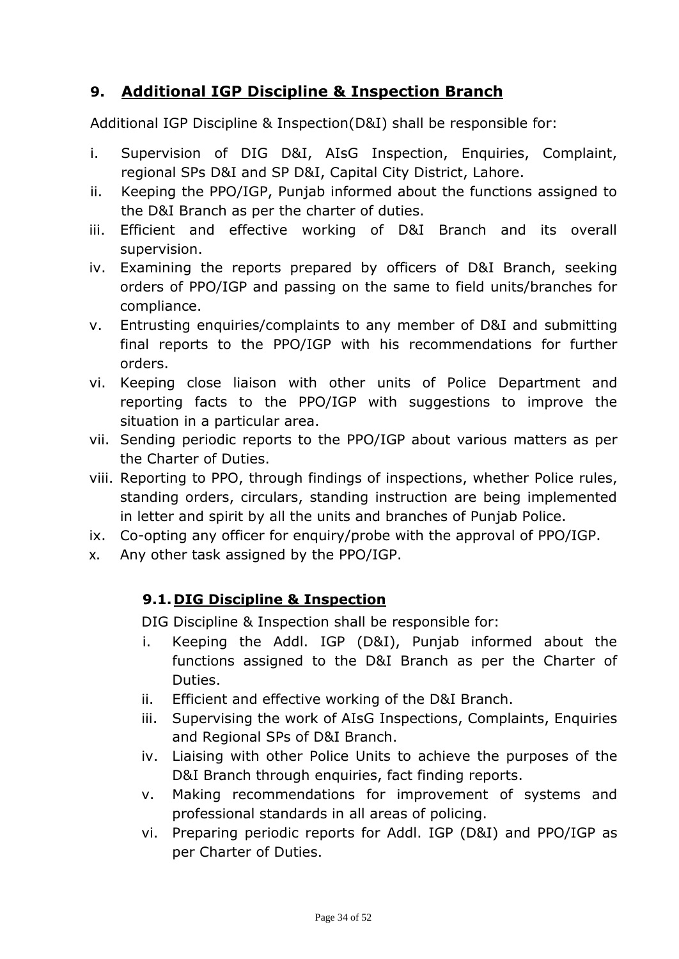# **9. Additional IGP Discipline & Inspection Branch**

Additional IGP Discipline & Inspection(D&I) shall be responsible for:

- i. Supervision of DIG D&I, AIsG Inspection, Enquiries, Complaint, regional SPs D&I and SP D&I, Capital City District, Lahore.
- ii. Keeping the PPO/IGP, Punjab informed about the functions assigned to the D&I Branch as per the charter of duties.
- iii. Efficient and effective working of D&I Branch and its overall supervision.
- iv. Examining the reports prepared by officers of D&I Branch, seeking orders of PPO/IGP and passing on the same to field units/branches for compliance.
- v. Entrusting enquiries/complaints to any member of D&I and submitting final reports to the PPO/IGP with his recommendations for further orders.
- vi. Keeping close liaison with other units of Police Department and reporting facts to the PPO/IGP with suggestions to improve the situation in a particular area.
- vii. Sending periodic reports to the PPO/IGP about various matters as per the Charter of Duties.
- viii. Reporting to PPO, through findings of inspections, whether Police rules, standing orders, circulars, standing instruction are being implemented in letter and spirit by all the units and branches of Punjab Police.
- ix. Co-opting any officer for enquiry/probe with the approval of PPO/IGP.
- x. Any other task assigned by the PPO/IGP.

#### **9.1. DIG Discipline & Inspection**

DIG Discipline & Inspection shall be responsible for:

- i. Keeping the Addl. IGP (D&I), Punjab informed about the functions assigned to the D&I Branch as per the Charter of Duties.
- ii. Efficient and effective working of the D&I Branch.
- iii. Supervising the work of AIsG Inspections, Complaints, Enquiries and Regional SPs of D&I Branch.
- iv. Liaising with other Police Units to achieve the purposes of the D&I Branch through enquiries, fact finding reports.
- v. Making recommendations for improvement of systems and professional standards in all areas of policing.
- vi. Preparing periodic reports for Addl. IGP (D&I) and PPO/IGP as per Charter of Duties.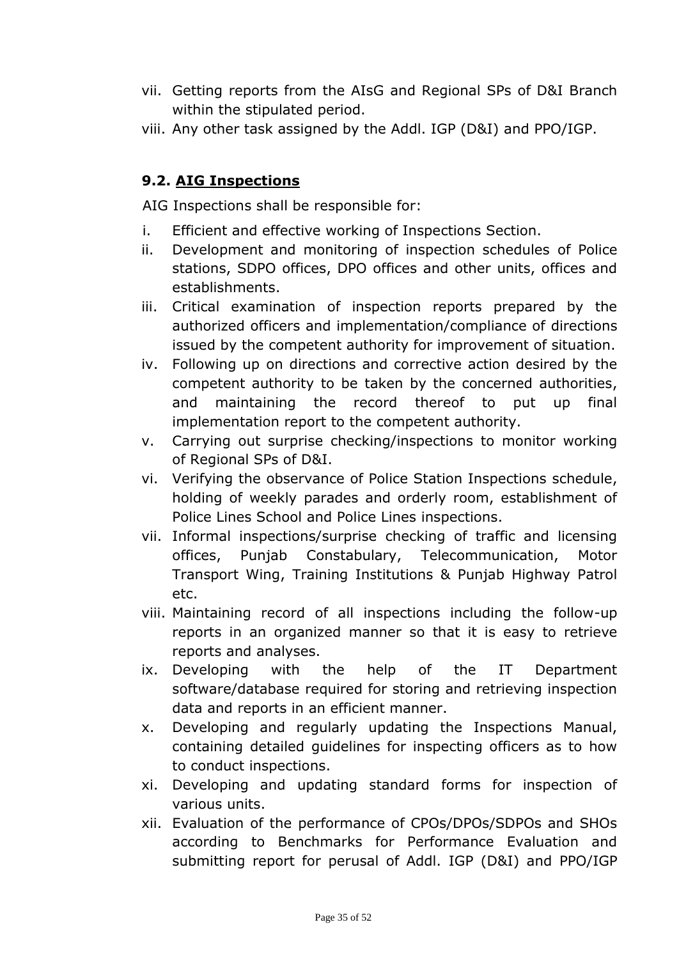- vii. Getting reports from the AIsG and Regional SPs of D&I Branch within the stipulated period.
- viii. Any other task assigned by the Addl. IGP (D&I) and PPO/IGP.

## **9.2. AIG Inspections**

AIG Inspections shall be responsible for:

- i. Efficient and effective working of Inspections Section.
- ii. Development and monitoring of inspection schedules of Police stations, SDPO offices, DPO offices and other units, offices and establishments.
- iii. Critical examination of inspection reports prepared by the authorized officers and implementation/compliance of directions issued by the competent authority for improvement of situation.
- iv. Following up on directions and corrective action desired by the competent authority to be taken by the concerned authorities, and maintaining the record thereof to put up final implementation report to the competent authority.
- v. Carrying out surprise checking/inspections to monitor working of Regional SPs of D&I.
- vi. Verifying the observance of Police Station Inspections schedule, holding of weekly parades and orderly room, establishment of Police Lines School and Police Lines inspections.
- vii. Informal inspections/surprise checking of traffic and licensing offices, Punjab Constabulary, Telecommunication, Motor Transport Wing, Training Institutions & Punjab Highway Patrol etc.
- viii. Maintaining record of all inspections including the follow-up reports in an organized manner so that it is easy to retrieve reports and analyses.
- ix. Developing with the help of the IT Department software/database required for storing and retrieving inspection data and reports in an efficient manner.
- x. Developing and regularly updating the Inspections Manual, containing detailed guidelines for inspecting officers as to how to conduct inspections.
- xi. Developing and updating standard forms for inspection of various units.
- xii. Evaluation of the performance of CPOs/DPOs/SDPOs and SHOs according to Benchmarks for Performance Evaluation and submitting report for perusal of Addl. IGP (D&I) and PPO/IGP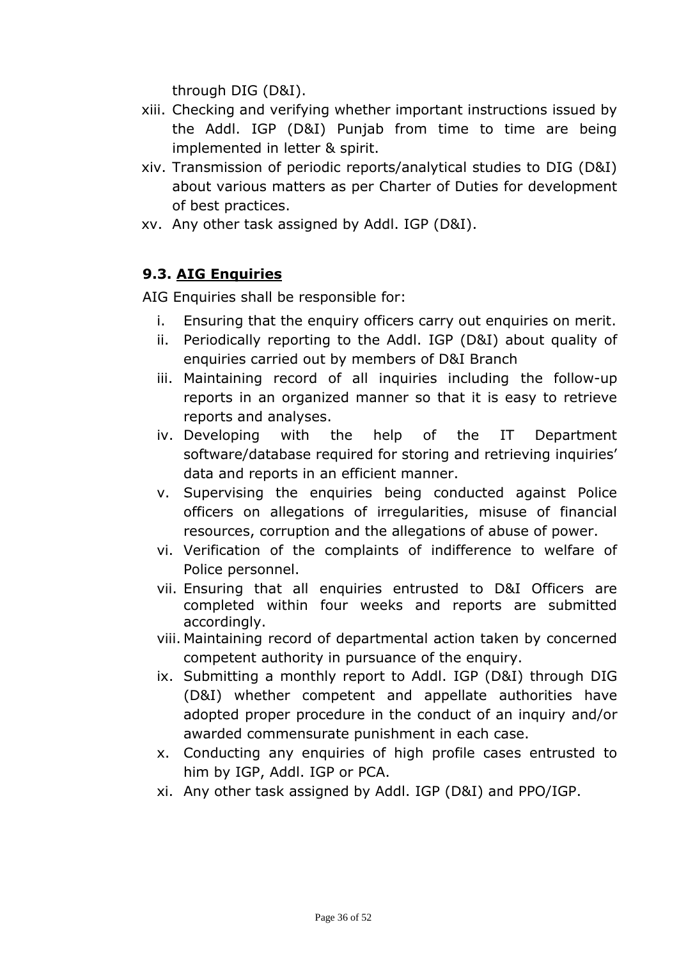through DIG (D&I).

- xiii. Checking and verifying whether important instructions issued by the Addl. IGP (D&I) Punjab from time to time are being implemented in letter & spirit.
- xiv. Transmission of periodic reports/analytical studies to DIG (D&I) about various matters as per Charter of Duties for development of best practices.
- xv. Any other task assigned by Addl. IGP (D&I).

# **9.3. AIG Enquiries**

AIG Enquiries shall be responsible for:

- i. Ensuring that the enquiry officers carry out enquiries on merit.
- ii. Periodically reporting to the Addl. IGP (D&I) about quality of enquiries carried out by members of D&I Branch
- iii. Maintaining record of all inquiries including the follow-up reports in an organized manner so that it is easy to retrieve reports and analyses.
- iv. Developing with the help of the IT Department software/database required for storing and retrieving inquiries' data and reports in an efficient manner.
- v. Supervising the enquiries being conducted against Police officers on allegations of irregularities, misuse of financial resources, corruption and the allegations of abuse of power.
- vi. Verification of the complaints of indifference to welfare of Police personnel.
- vii. Ensuring that all enquiries entrusted to D&I Officers are completed within four weeks and reports are submitted accordingly.
- viii. Maintaining record of departmental action taken by concerned competent authority in pursuance of the enquiry.
- ix. Submitting a monthly report to Addl. IGP (D&I) through DIG (D&I) whether competent and appellate authorities have adopted proper procedure in the conduct of an inquiry and/or awarded commensurate punishment in each case.
- x. Conducting any enquiries of high profile cases entrusted to him by IGP, Addl. IGP or PCA.
- xi. Any other task assigned by Addl. IGP (D&I) and PPO/IGP.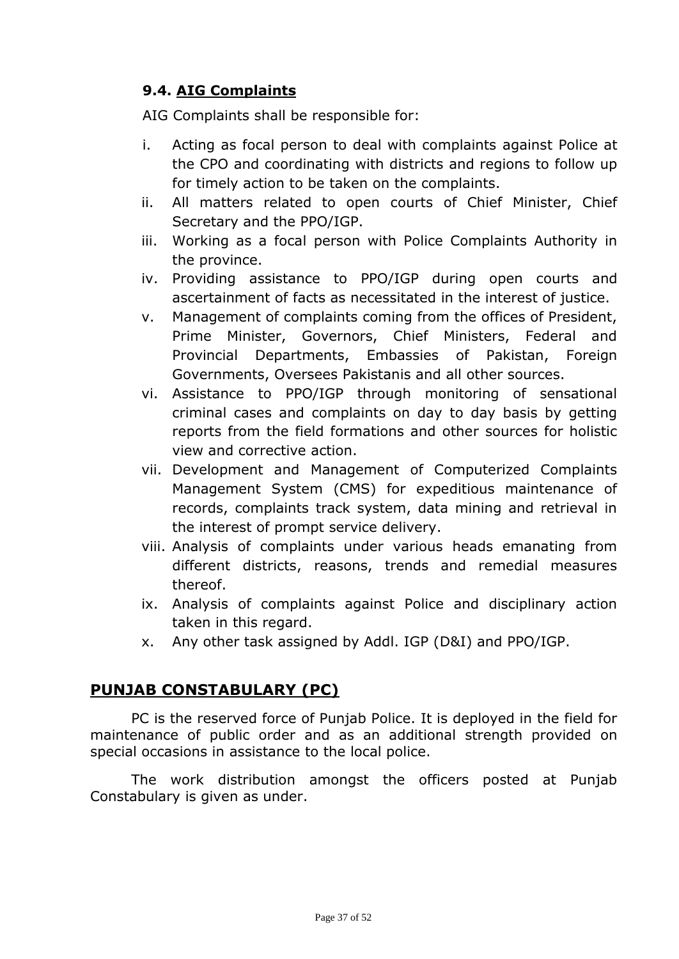# **9.4. AIG Complaints**

AIG Complaints shall be responsible for:

- i. Acting as focal person to deal with complaints against Police at the CPO and coordinating with districts and regions to follow up for timely action to be taken on the complaints.
- ii. All matters related to open courts of Chief Minister, Chief Secretary and the PPO/IGP.
- iii. Working as a focal person with Police Complaints Authority in the province.
- iv. Providing assistance to PPO/IGP during open courts and ascertainment of facts as necessitated in the interest of justice.
- v. Management of complaints coming from the offices of President, Prime Minister, Governors, Chief Ministers, Federal and Provincial Departments, Embassies of Pakistan, Foreign Governments, Oversees Pakistanis and all other sources.
- vi. Assistance to PPO/IGP through monitoring of sensational criminal cases and complaints on day to day basis by getting reports from the field formations and other sources for holistic view and corrective action.
- vii. Development and Management of Computerized Complaints Management System (CMS) for expeditious maintenance of records, complaints track system, data mining and retrieval in the interest of prompt service delivery.
- viii. Analysis of complaints under various heads emanating from different districts, reasons, trends and remedial measures thereof.
- ix. Analysis of complaints against Police and disciplinary action taken in this regard.
- x. Any other task assigned by Addl. IGP (D&I) and PPO/IGP.

## **PUNJAB CONSTABULARY (PC)**

PC is the reserved force of Punjab Police. It is deployed in the field for maintenance of public order and as an additional strength provided on special occasions in assistance to the local police.

The work distribution amongst the officers posted at Punjab Constabulary is given as under.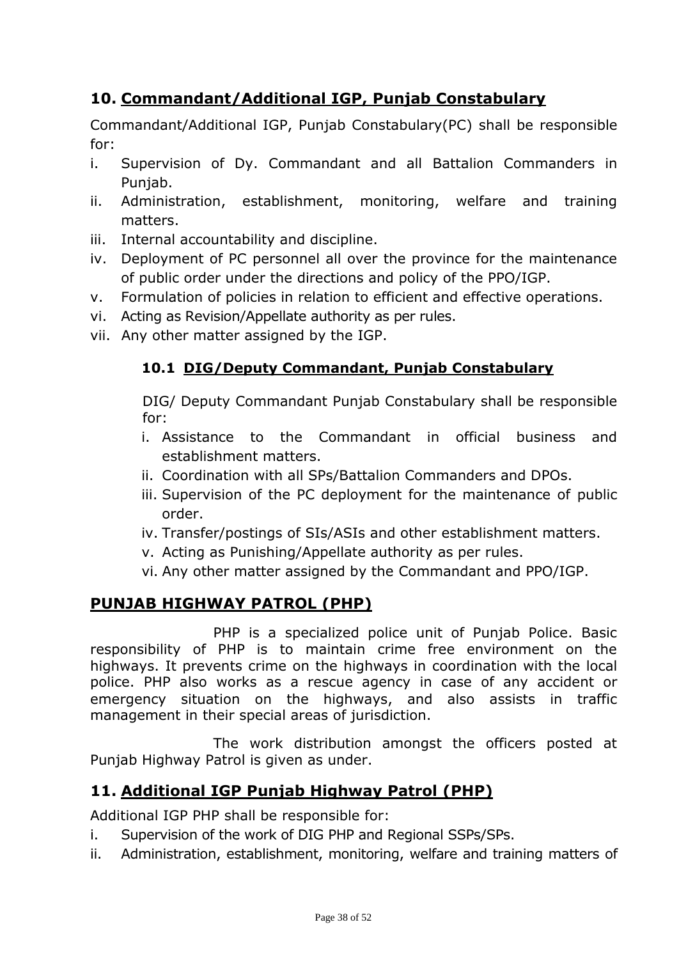# **10. Commandant/Additional IGP, Punjab Constabulary**

Commandant/Additional IGP, Punjab Constabulary(PC) shall be responsible for:

- i. Supervision of Dy. Commandant and all Battalion Commanders in Punjab.
- ii. Administration, establishment, monitoring, welfare and training matters.
- iii. Internal accountability and discipline.
- iv. Deployment of PC personnel all over the province for the maintenance of public order under the directions and policy of the PPO/IGP.
- v. Formulation of policies in relation to efficient and effective operations.
- vi. Acting as Revision/Appellate authority as per rules.
- vii. Any other matter assigned by the IGP.

#### **10.1 DIG/Deputy Commandant, Punjab Constabulary**

DIG/ Deputy Commandant Punjab Constabulary shall be responsible for:

- i. Assistance to the Commandant in official business and establishment matters.
- ii. Coordination with all SPs/Battalion Commanders and DPOs.
- iii. Supervision of the PC deployment for the maintenance of public order.
- iv. Transfer/postings of SIs/ASIs and other establishment matters.
- v. Acting as Punishing/Appellate authority as per rules.
- vi. Any other matter assigned by the Commandant and PPO/IGP.

## **PUNJAB HIGHWAY PATROL (PHP)**

PHP is a specialized police unit of Punjab Police. Basic responsibility of PHP is to maintain crime free environment on the highways. It prevents crime on the highways in coordination with the local police. PHP also works as a rescue agency in case of any accident or emergency situation on the highways, and also assists in traffic management in their special areas of jurisdiction.

The work distribution amongst the officers posted at Punjab Highway Patrol is given as under.

## **11. Additional IGP Punjab Highway Patrol (PHP)**

Additional IGP PHP shall be responsible for:

- i. Supervision of the work of DIG PHP and Regional SSPs/SPs.
- ii. Administration, establishment, monitoring, welfare and training matters of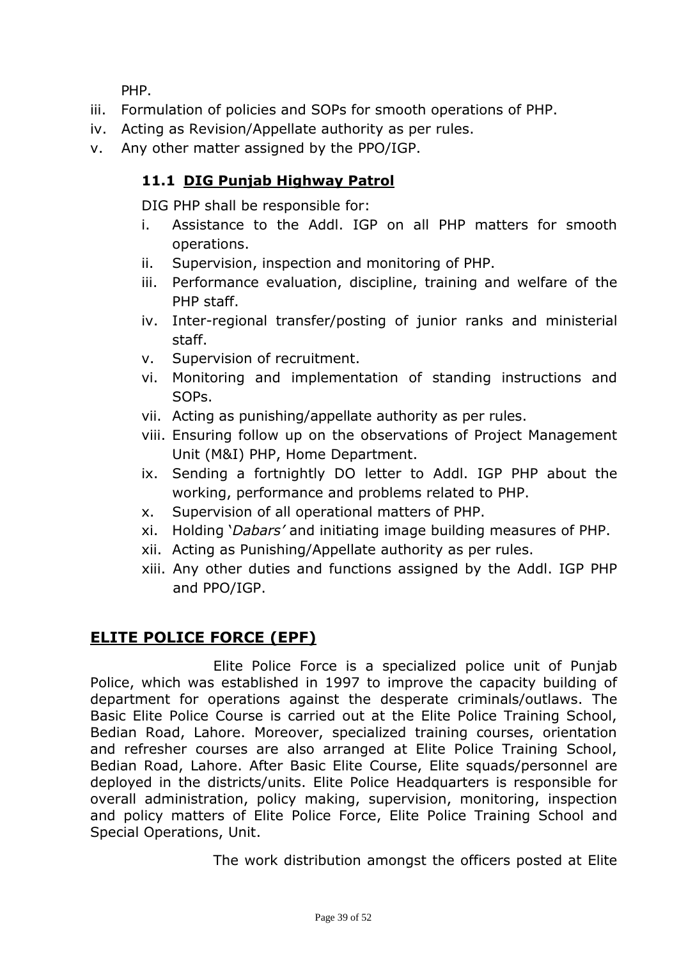PHP.

- iii. Formulation of policies and SOPs for smooth operations of PHP.
- iv. Acting as Revision/Appellate authority as per rules.
- v. Any other matter assigned by the PPO/IGP.

# **11.1 DIG Punjab Highway Patrol**

DIG PHP shall be responsible for:

- i. Assistance to the Addl. IGP on all PHP matters for smooth operations.
- ii. Supervision, inspection and monitoring of PHP.
- iii. Performance evaluation, discipline, training and welfare of the PHP staff.
- iv. Inter-regional transfer/posting of junior ranks and ministerial staff.
- v. Supervision of recruitment.
- vi. Monitoring and implementation of standing instructions and SOPs.
- vii. Acting as punishing/appellate authority as per rules.
- viii. Ensuring follow up on the observations of Project Management Unit (M&I) PHP, Home Department.
- ix. Sending a fortnightly DO letter to Addl. IGP PHP about the working, performance and problems related to PHP.
- x. Supervision of all operational matters of PHP.
- xi. Holding '*Dabars'* and initiating image building measures of PHP.
- xii. Acting as Punishing/Appellate authority as per rules.
- xiii. Any other duties and functions assigned by the Addl. IGP PHP and PPO/IGP.

# **ELITE POLICE FORCE (EPF)**

Elite Police Force is a specialized police unit of Punjab Police, which was established in 1997 to improve the capacity building of department for operations against the desperate criminals/outlaws. The Basic Elite Police Course is carried out at the Elite Police Training School, Bedian Road, Lahore. Moreover, specialized training courses, orientation and refresher courses are also arranged at Elite Police Training School, Bedian Road, Lahore. After Basic Elite Course, Elite squads/personnel are deployed in the districts/units. Elite Police Headquarters is responsible for overall administration, policy making, supervision, monitoring, inspection and policy matters of Elite Police Force, Elite Police Training School and Special Operations, Unit.

The work distribution amongst the officers posted at Elite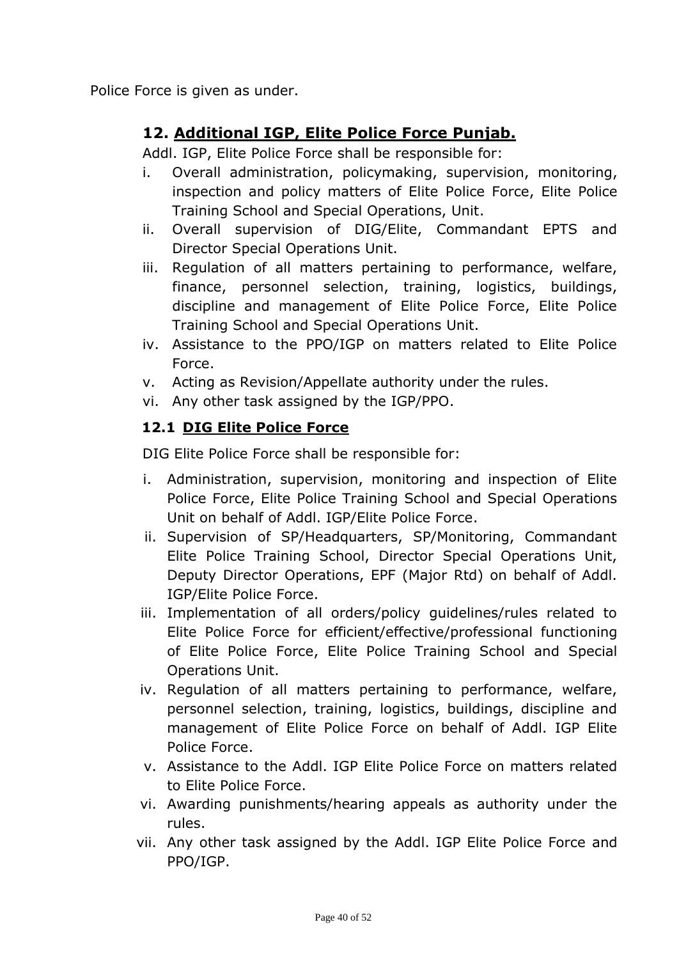Police Force is given as under.

# **12. Additional IGP, Elite Police Force Punjab.**

Addl. IGP, Elite Police Force shall be responsible for:

- i. Overall administration, policymaking, supervision, monitoring, inspection and policy matters of Elite Police Force, Elite Police Training School and Special Operations, Unit.
- ii. Overall supervision of DIG/Elite, Commandant EPTS and Director Special Operations Unit.
- iii. Regulation of all matters pertaining to performance, welfare, finance, personnel selection, training, logistics, buildings, discipline and management of Elite Police Force, Elite Police Training School and Special Operations Unit.
- iv. Assistance to the PPO/IGP on matters related to Elite Police Force.
- v. Acting as Revision/Appellate authority under the rules.
- vi. Any other task assigned by the IGP/PPO.

#### **12.1 DIG Elite Police Force**

DIG Elite Police Force shall be responsible for:

- i. Administration, supervision, monitoring and inspection of Elite Police Force, Elite Police Training School and Special Operations Unit on behalf of Addl. IGP/Elite Police Force.
- ii. Supervision of SP/Headquarters, SP/Monitoring, Commandant Elite Police Training School, Director Special Operations Unit, Deputy Director Operations, EPF (Major Rtd) on behalf of Addl. IGP/Elite Police Force.
- iii. Implementation of all orders/policy guidelines/rules related to Elite Police Force for efficient/effective/professional functioning of Elite Police Force, Elite Police Training School and Special Operations Unit.
- iv. Regulation of all matters pertaining to performance, welfare, personnel selection, training, logistics, buildings, discipline and management of Elite Police Force on behalf of Addl. IGP Elite Police Force.
- v. Assistance to the Addl. IGP Elite Police Force on matters related to Elite Police Force.
- vi. Awarding punishments/hearing appeals as authority under the rules.
- vii. Any other task assigned by the Addl. IGP Elite Police Force and PPO/IGP.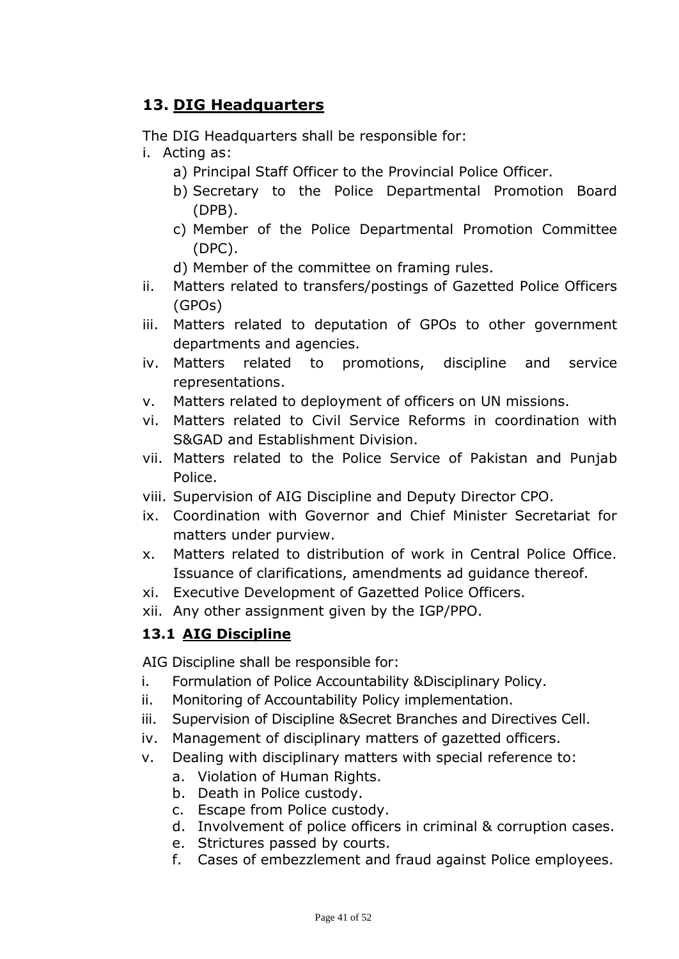# **13. DIG Headquarters**

The DIG Headquarters shall be responsible for:

- i. Acting as:
	- a) Principal Staff Officer to the Provincial Police Officer.
	- b) Secretary to the Police Departmental Promotion Board (DPB).
	- c) Member of the Police Departmental Promotion Committee (DPC).
	- d) Member of the committee on framing rules.
- ii. Matters related to transfers/postings of Gazetted Police Officers (GPOs)
- iii. Matters related to deputation of GPOs to other government departments and agencies.
- iv. Matters related to promotions, discipline and service representations.
- v. Matters related to deployment of officers on UN missions.
- vi. Matters related to Civil Service Reforms in coordination with S&GAD and Establishment Division.
- vii. Matters related to the Police Service of Pakistan and Punjab Police.
- viii. Supervision of AIG Discipline and Deputy Director CPO.
- ix. Coordination with Governor and Chief Minister Secretariat for matters under purview.
- x. Matters related to distribution of work in Central Police Office. Issuance of clarifications, amendments ad guidance thereof.
- xi. Executive Development of Gazetted Police Officers.
- xii. Any other assignment given by the IGP/PPO.

## **13.1 AIG Discipline**

AIG Discipline shall be responsible for:

- i. Formulation of Police Accountability &Disciplinary Policy.
- ii. Monitoring of Accountability Policy implementation.
- iii. Supervision of Discipline &Secret Branches and Directives Cell.
- iv. Management of disciplinary matters of gazetted officers.
- v. Dealing with disciplinary matters with special reference to:
	- a. Violation of Human Rights.
	- b. Death in Police custody.
	- c. Escape from Police custody.
	- d. Involvement of police officers in criminal & corruption cases.
	- e. Strictures passed by courts.
	- f. Cases of embezzlement and fraud against Police employees.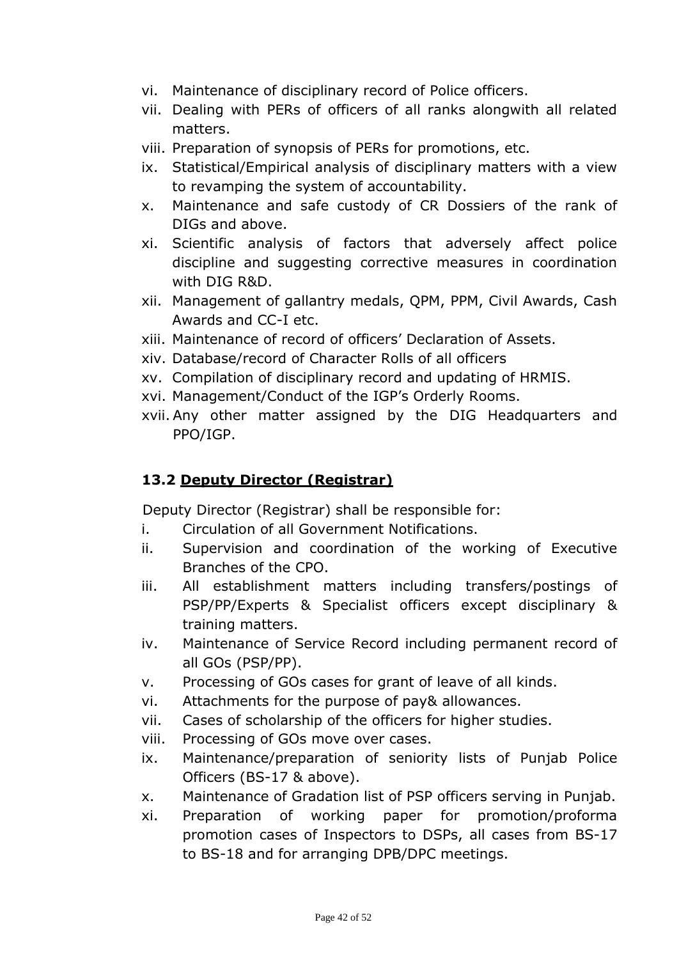- vi. Maintenance of disciplinary record of Police officers.
- vii. Dealing with PERs of officers of all ranks alongwith all related matters.
- viii. Preparation of synopsis of PERs for promotions, etc.
- ix. Statistical/Empirical analysis of disciplinary matters with a view to revamping the system of accountability.
- x. Maintenance and safe custody of CR Dossiers of the rank of DIGs and above.
- xi. Scientific analysis of factors that adversely affect police discipline and suggesting corrective measures in coordination with DIG R&D.
- xii. Management of gallantry medals, QPM, PPM, Civil Awards, Cash Awards and CC-I etc.
- xiii. Maintenance of record of officers' Declaration of Assets.
- xiv. Database/record of Character Rolls of all officers
- xv. Compilation of disciplinary record and updating of HRMIS.
- xvi. Management/Conduct of the IGP's Orderly Rooms.
- xvii. Any other matter assigned by the DIG Headquarters and PPO/IGP.

## **13.2 Deputy Director (Registrar)**

Deputy Director (Registrar) shall be responsible for:

- i. Circulation of all Government Notifications.
- ii. Supervision and coordination of the working of Executive Branches of the CPO.
- iii. All establishment matters including transfers/postings of PSP/PP/Experts & Specialist officers except disciplinary & training matters.
- iv. Maintenance of Service Record including permanent record of all GOs (PSP/PP).
- v. Processing of GOs cases for grant of leave of all kinds.
- vi. Attachments for the purpose of pay& allowances.
- vii. Cases of scholarship of the officers for higher studies.
- viii. Processing of GOs move over cases.
- ix. Maintenance/preparation of seniority lists of Punjab Police Officers (BS-17 & above).
- x. Maintenance of Gradation list of PSP officers serving in Punjab.
- xi. Preparation of working paper for promotion/proforma promotion cases of Inspectors to DSPs, all cases from BS-17 to BS-18 and for arranging DPB/DPC meetings.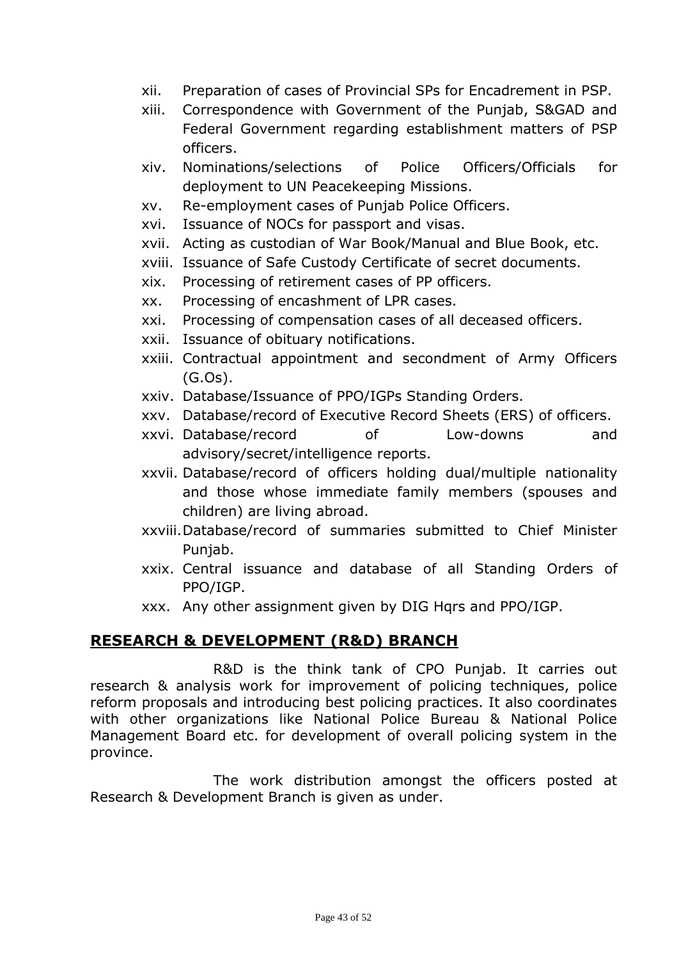- xii. Preparation of cases of Provincial SPs for Encadrement in PSP.
- xiii. Correspondence with Government of the Punjab, S&GAD and Federal Government regarding establishment matters of PSP officers.
- xiv. Nominations/selections of Police Officers/Officials for deployment to UN Peacekeeping Missions.
- xv. Re-employment cases of Punjab Police Officers.
- xvi. Issuance of NOCs for passport and visas.
- xvii. Acting as custodian of War Book/Manual and Blue Book, etc.
- xviii. Issuance of Safe Custody Certificate of secret documents.
- xix. Processing of retirement cases of PP officers.
- xx. Processing of encashment of LPR cases.
- xxi. Processing of compensation cases of all deceased officers.
- xxii. Issuance of obituary notifications.
- xxiii. Contractual appointment and secondment of Army Officers (G.Os).
- xxiv. Database/Issuance of PPO/IGPs Standing Orders.
- xxv. Database/record of Executive Record Sheets (ERS) of officers.
- xxvi. Database/record of Low-downs and advisory/secret/intelligence reports.
- xxvii. Database/record of officers holding dual/multiple nationality and those whose immediate family members (spouses and children) are living abroad.
- xxviii.Database/record of summaries submitted to Chief Minister Punjab.
- xxix. Central issuance and database of all Standing Orders of PPO/IGP.
- xxx. Any other assignment given by DIG Hqrs and PPO/IGP.

#### **RESEARCH & DEVELOPMENT (R&D) BRANCH**

R&D is the think tank of CPO Punjab. It carries out research & analysis work for improvement of policing techniques, police reform proposals and introducing best policing practices. It also coordinates with other organizations like National Police Bureau & National Police Management Board etc. for development of overall policing system in the province.

The work distribution amongst the officers posted at Research & Development Branch is given as under.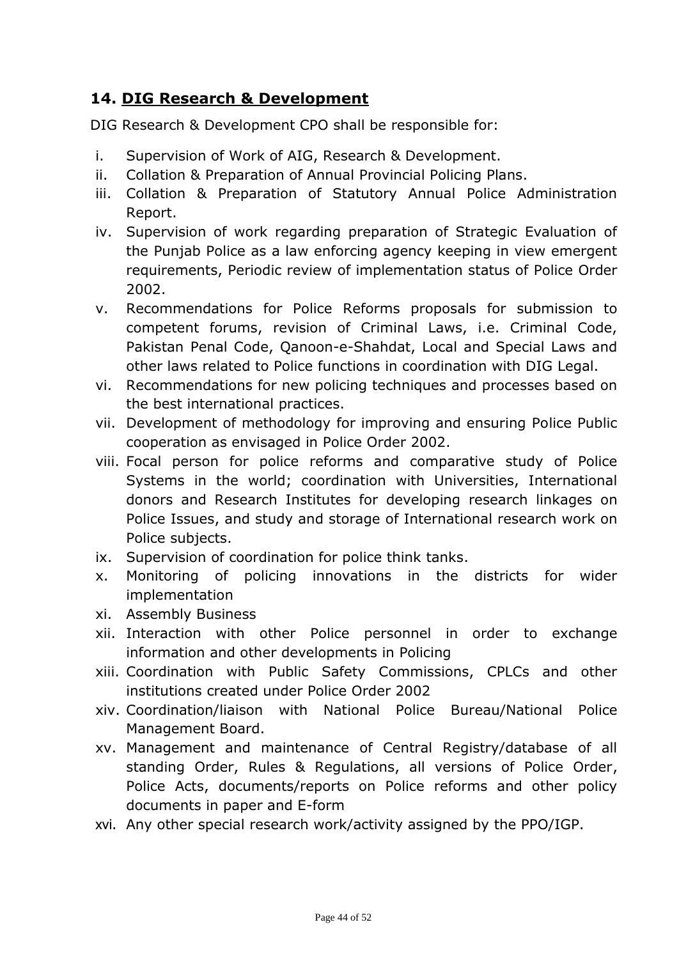# **14. DIG Research & Development**

DIG Research & Development CPO shall be responsible for:

- i. Supervision of Work of AIG, Research & Development.
- ii. Collation & Preparation of Annual Provincial Policing Plans.
- iii. Collation & Preparation of Statutory Annual Police Administration Report.
- iv. Supervision of work regarding preparation of Strategic Evaluation of the Punjab Police as a law enforcing agency keeping in view emergent requirements, Periodic review of implementation status of Police Order 2002.
- v. Recommendations for Police Reforms proposals for submission to competent forums, revision of Criminal Laws, i.e. Criminal Code, Pakistan Penal Code, Qanoon-e-Shahdat, Local and Special Laws and other laws related to Police functions in coordination with DIG Legal.
- vi. Recommendations for new policing techniques and processes based on the best international practices.
- vii. Development of methodology for improving and ensuring Police Public cooperation as envisaged in Police Order 2002.
- viii. Focal person for police reforms and comparative study of Police Systems in the world; coordination with Universities, International donors and Research Institutes for developing research linkages on Police Issues, and study and storage of International research work on Police subjects.
- ix. Supervision of coordination for police think tanks.
- x. Monitoring of policing innovations in the districts for wider implementation
- xi. Assembly Business
- xii. Interaction with other Police personnel in order to exchange information and other developments in Policing
- xiii. Coordination with Public Safety Commissions, CPLCs and other institutions created under Police Order 2002
- xiv. Coordination/liaison with National Police Bureau/National Police Management Board.
- xv. Management and maintenance of Central Registry/database of all standing Order, Rules & Regulations, all versions of Police Order, Police Acts, documents/reports on Police reforms and other policy documents in paper and E-form
- xvi. Any other special research work/activity assigned by the PPO/IGP.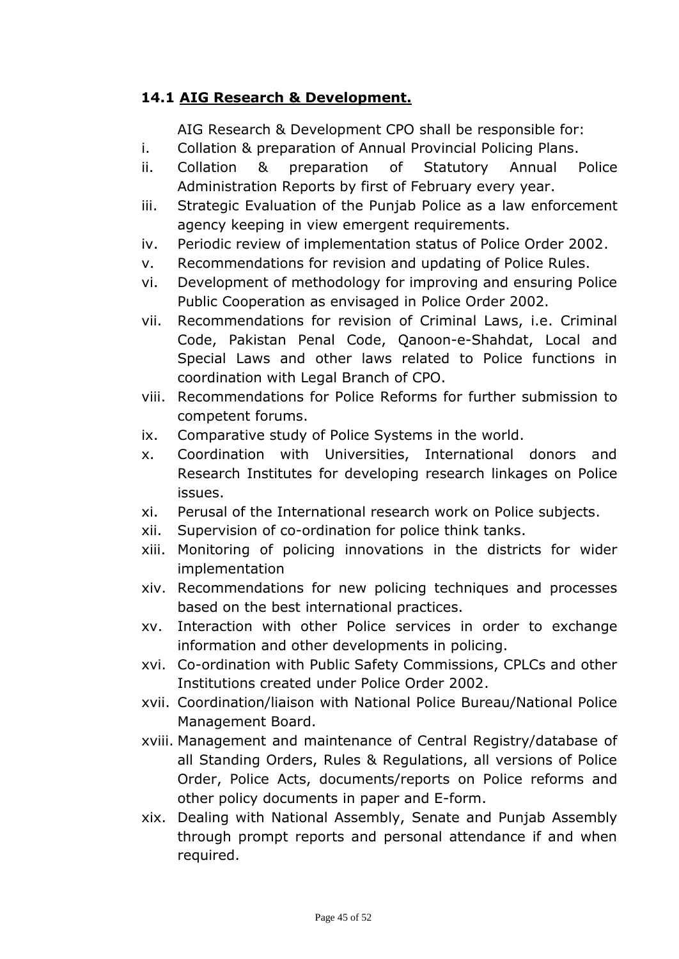#### **14.1 AIG Research & Development.**

AIG Research & Development CPO shall be responsible for:

- i. Collation & preparation of Annual Provincial Policing Plans.
- ii. Collation & preparation of Statutory Annual Police Administration Reports by first of February every year.
- iii. Strategic Evaluation of the Punjab Police as a law enforcement agency keeping in view emergent requirements.
- iv. Periodic review of implementation status of Police Order 2002.
- v. Recommendations for revision and updating of Police Rules.
- vi. Development of methodology for improving and ensuring Police Public Cooperation as envisaged in Police Order 2002.
- vii. Recommendations for revision of Criminal Laws, i.e. Criminal Code, Pakistan Penal Code, Qanoon-e-Shahdat, Local and Special Laws and other laws related to Police functions in coordination with Legal Branch of CPO.
- viii. Recommendations for Police Reforms for further submission to competent forums.
- ix. Comparative study of Police Systems in the world.
- x. Coordination with Universities, International donors and Research Institutes for developing research linkages on Police issues.
- xi. Perusal of the International research work on Police subjects.
- xii. Supervision of co-ordination for police think tanks.
- xiii. Monitoring of policing innovations in the districts for wider implementation
- xiv. Recommendations for new policing techniques and processes based on the best international practices.
- xv. Interaction with other Police services in order to exchange information and other developments in policing.
- xvi. Co-ordination with Public Safety Commissions, CPLCs and other Institutions created under Police Order 2002.
- xvii. Coordination/liaison with National Police Bureau/National Police Management Board.
- xviii. Management and maintenance of Central Registry/database of all Standing Orders, Rules & Regulations, all versions of Police Order, Police Acts, documents/reports on Police reforms and other policy documents in paper and E-form.
- xix. Dealing with National Assembly, Senate and Punjab Assembly through prompt reports and personal attendance if and when required.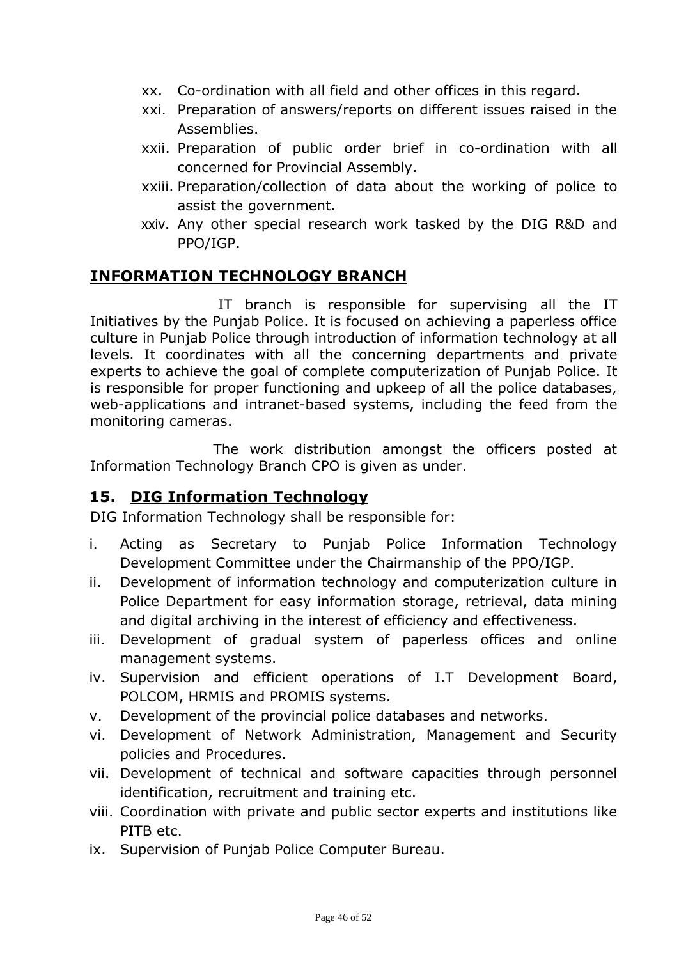- xx. Co-ordination with all field and other offices in this regard.
- xxi. Preparation of answers/reports on different issues raised in the Assemblies.
- xxii. Preparation of public order brief in co-ordination with all concerned for Provincial Assembly.
- xxiii. Preparation/collection of data about the working of police to assist the government.
- xxiv. Any other special research work tasked by the DIG R&D and PPO/IGP.

## **INFORMATION TECHNOLOGY BRANCH**

IT branch is responsible for supervising all the IT Initiatives by the Punjab Police. It is focused on achieving a paperless office culture in Punjab Police through introduction of information technology at all levels. It coordinates with all the concerning departments and private experts to achieve the goal of complete computerization of Punjab Police. It is responsible for proper functioning and upkeep of all the police databases, web-applications and intranet-based systems, including the feed from the monitoring cameras.

The work distribution amongst the officers posted at Information Technology Branch CPO is given as under.

## **15. DIG Information Technology**

DIG Information Technology shall be responsible for:

- i. Acting as Secretary to Punjab Police Information Technology Development Committee under the Chairmanship of the PPO/IGP.
- ii. Development of information technology and computerization culture in Police Department for easy information storage, retrieval, data mining and digital archiving in the interest of efficiency and effectiveness.
- iii. Development of gradual system of paperless offices and online management systems.
- iv. Supervision and efficient operations of I.T Development Board, POLCOM, HRMIS and PROMIS systems.
- v. Development of the provincial police databases and networks.
- vi. Development of Network Administration, Management and Security policies and Procedures.
- vii. Development of technical and software capacities through personnel identification, recruitment and training etc.
- viii. Coordination with private and public sector experts and institutions like PITB etc.
- ix. Supervision of Punjab Police Computer Bureau.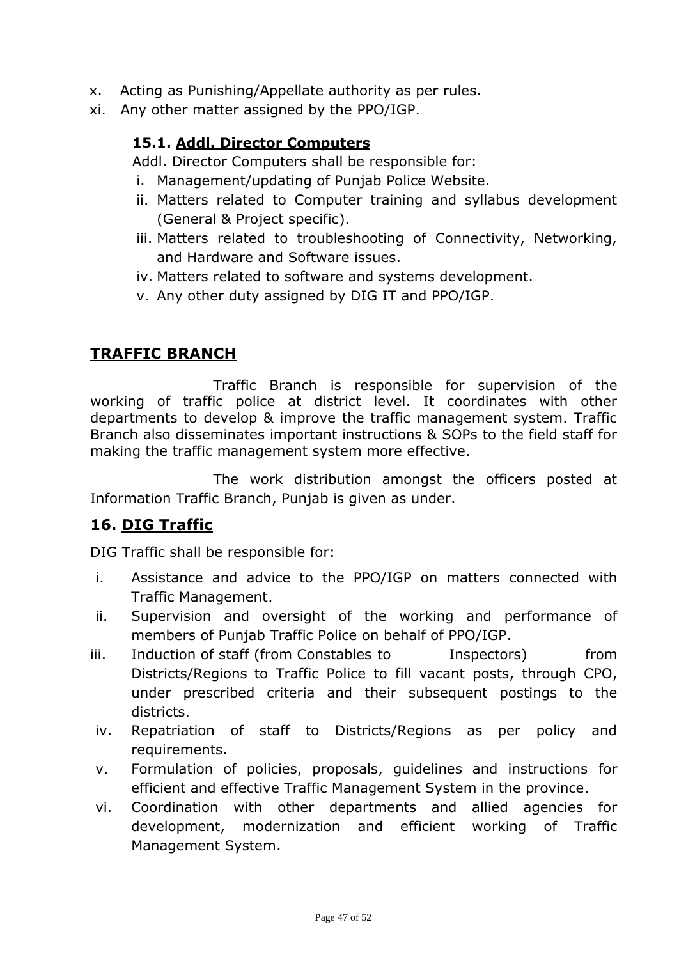- x. Acting as Punishing/Appellate authority as per rules.
- xi. Any other matter assigned by the PPO/IGP.

#### **15.1. Addl. Director Computers**

Addl. Director Computers shall be responsible for:

- i. Management/updating of Punjab Police Website.
- ii. Matters related to Computer training and syllabus development (General & Project specific).
- iii. Matters related to troubleshooting of Connectivity, Networking, and Hardware and Software issues.
- iv. Matters related to software and systems development.
- v. Any other duty assigned by DIG IT and PPO/IGP.

#### **TRAFFIC BRANCH**

Traffic Branch is responsible for supervision of the working of traffic police at district level. It coordinates with other departments to develop & improve the traffic management system. Traffic Branch also disseminates important instructions & SOPs to the field staff for making the traffic management system more effective.

The work distribution amongst the officers posted at Information Traffic Branch, Punjab is given as under.

## **16. DIG Traffic**

DIG Traffic shall be responsible for:

- i. Assistance and advice to the PPO/IGP on matters connected with Traffic Management.
- ii. Supervision and oversight of the working and performance of members of Punjab Traffic Police on behalf of PPO/IGP.
- iii. Induction of staff (from Constables to Inspectors) from Districts/Regions to Traffic Police to fill vacant posts, through CPO, under prescribed criteria and their subsequent postings to the districts.
- iv. Repatriation of staff to Districts/Regions as per policy and requirements.
- v. Formulation of policies, proposals, guidelines and instructions for efficient and effective Traffic Management System in the province.
- vi. Coordination with other departments and allied agencies for development, modernization and efficient working of Traffic Management System.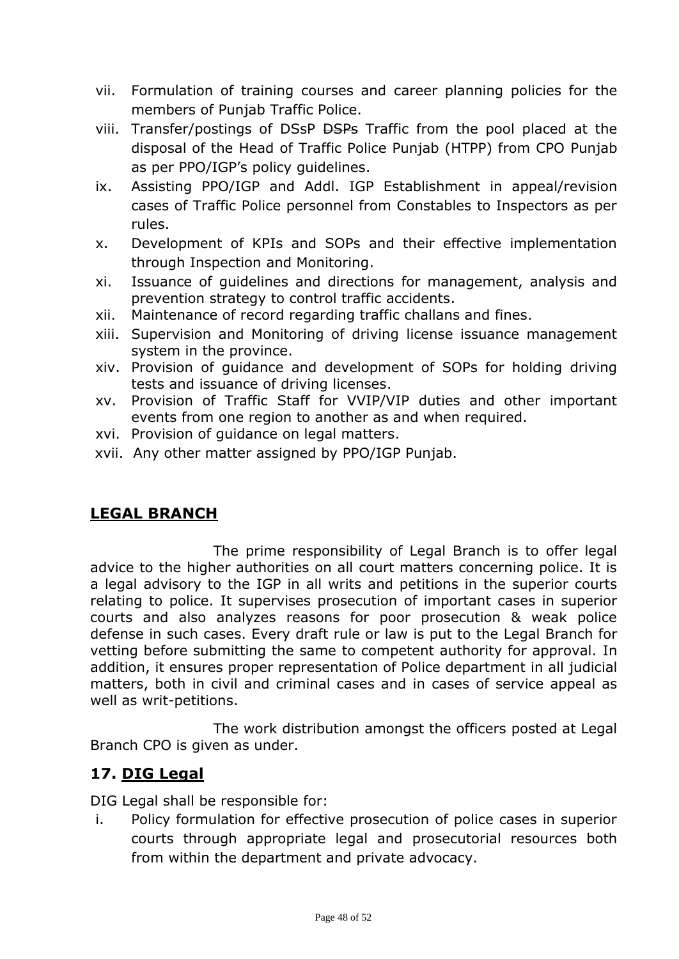- vii. Formulation of training courses and career planning policies for the members of Punjab Traffic Police.
- viii. Transfer/postings of DSsP <del>DSPs</del> Traffic from the pool placed at the disposal of the Head of Traffic Police Punjab (HTPP) from CPO Punjab as per PPO/IGP's policy guidelines.
- ix. Assisting PPO/IGP and Addl. IGP Establishment in appeal/revision cases of Traffic Police personnel from Constables to Inspectors as per rules.
- x. Development of KPIs and SOPs and their effective implementation through Inspection and Monitoring.
- xi. Issuance of guidelines and directions for management, analysis and prevention strategy to control traffic accidents.
- xii. Maintenance of record regarding traffic challans and fines.
- xiii. Supervision and Monitoring of driving license issuance management system in the province.
- xiv. Provision of guidance and development of SOPs for holding driving tests and issuance of driving licenses.
- xv. Provision of Traffic Staff for VVIP/VIP duties and other important events from one region to another as and when required.
- xvi. Provision of guidance on legal matters.
- xvii. Any other matter assigned by PPO/IGP Punjab.

# **LEGAL BRANCH**

The prime responsibility of Legal Branch is to offer legal advice to the higher authorities on all court matters concerning police. It is a legal advisory to the IGP in all writs and petitions in the superior courts relating to police. It supervises prosecution of important cases in superior courts and also analyzes reasons for poor prosecution & weak police defense in such cases. Every draft rule or law is put to the Legal Branch for vetting before submitting the same to competent authority for approval. In addition, it ensures proper representation of Police department in all judicial matters, both in civil and criminal cases and in cases of service appeal as well as writ-petitions.

The work distribution amongst the officers posted at Legal Branch CPO is given as under.

# **17. DIG Legal**

DIG Legal shall be responsible for:

i. Policy formulation for effective prosecution of police cases in superior courts through appropriate legal and prosecutorial resources both from within the department and private advocacy.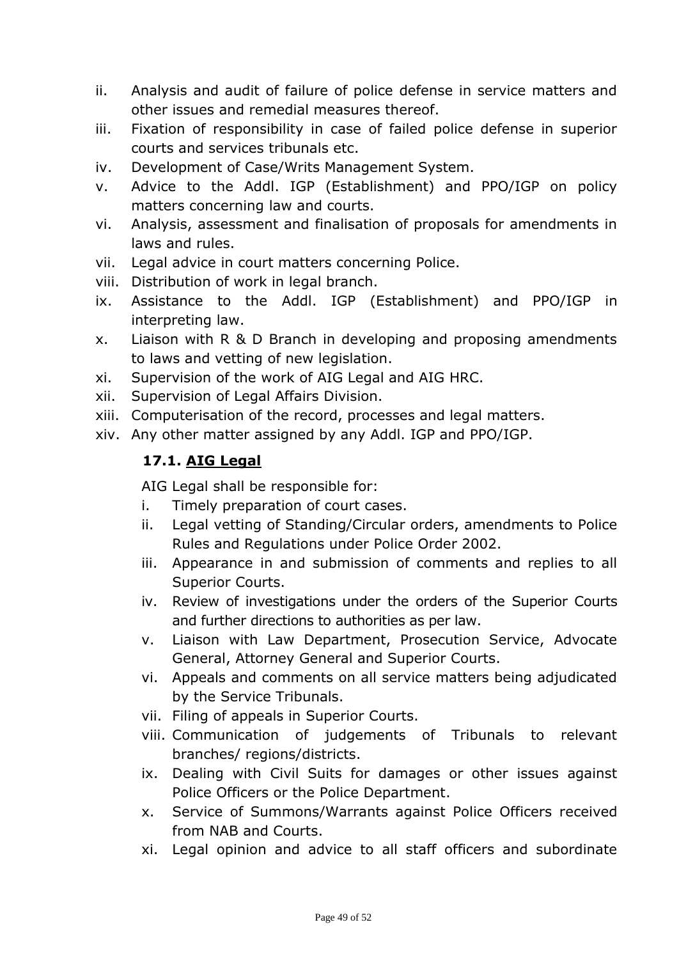- ii. Analysis and audit of failure of police defense in service matters and other issues and remedial measures thereof.
- iii. Fixation of responsibility in case of failed police defense in superior courts and services tribunals etc.
- iv. Development of Case/Writs Management System.
- v. Advice to the Addl. IGP (Establishment) and PPO/IGP on policy matters concerning law and courts.
- vi. Analysis, assessment and finalisation of proposals for amendments in laws and rules.
- vii. Legal advice in court matters concerning Police.
- viii. Distribution of work in legal branch.
- ix. Assistance to the Addl. IGP (Establishment) and PPO/IGP in interpreting law.
- x. Liaison with R & D Branch in developing and proposing amendments to laws and vetting of new legislation.
- xi. Supervision of the work of AIG Legal and AIG HRC.
- xii. Supervision of Legal Affairs Division.
- xiii. Computerisation of the record, processes and legal matters.
- xiv. Any other matter assigned by any Addl. IGP and PPO/IGP.

#### **17.1. AIG Legal**

AIG Legal shall be responsible for:

- i. Timely preparation of court cases.
- ii. Legal vetting of Standing/Circular orders, amendments to Police Rules and Regulations under Police Order 2002.
- iii. Appearance in and submission of comments and replies to all Superior Courts.
- iv. Review of investigations under the orders of the Superior Courts and further directions to authorities as per law.
- v. Liaison with Law Department, Prosecution Service, Advocate General, Attorney General and Superior Courts.
- vi. Appeals and comments on all service matters being adjudicated by the Service Tribunals.
- vii. Filing of appeals in Superior Courts.
- viii. Communication of judgements of Tribunals to relevant branches/ regions/districts.
- ix. Dealing with Civil Suits for damages or other issues against Police Officers or the Police Department.
- x. Service of Summons/Warrants against Police Officers received from NAB and Courts.
- xi. Legal opinion and advice to all staff officers and subordinate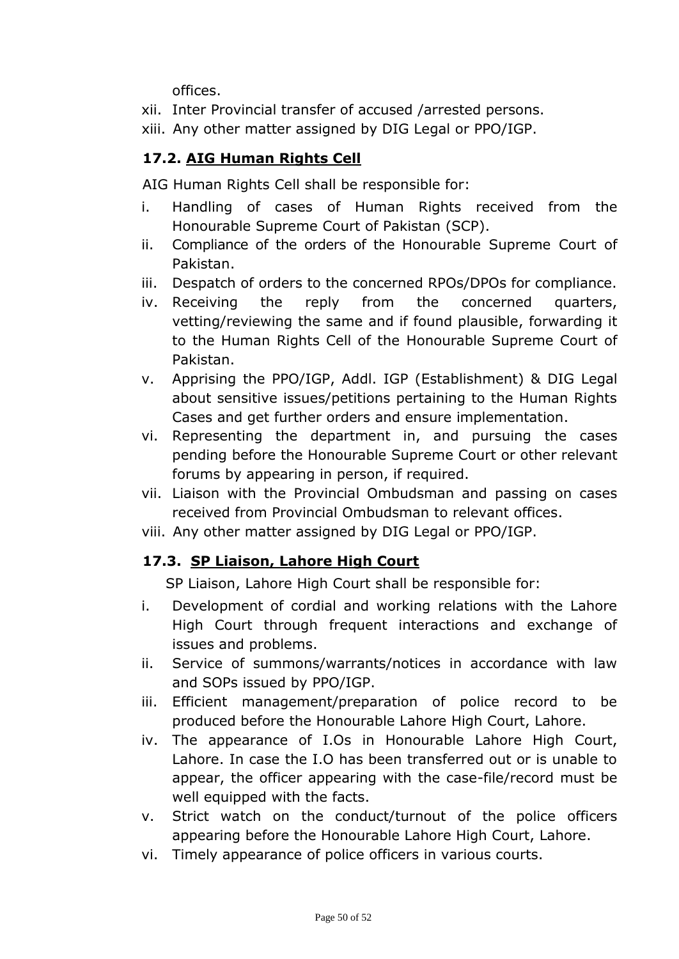offices.

xii. Inter Provincial transfer of accused /arrested persons.

xiii. Any other matter assigned by DIG Legal or PPO/IGP.

# **17.2. AIG Human Rights Cell**

AIG Human Rights Cell shall be responsible for:

- i. Handling of cases of Human Rights received from the Honourable Supreme Court of Pakistan (SCP).
- ii. Compliance of the orders of the Honourable Supreme Court of Pakistan.
- iii. Despatch of orders to the concerned RPOs/DPOs for compliance.
- iv. Receiving the reply from the concerned quarters, vetting/reviewing the same and if found plausible, forwarding it to the Human Rights Cell of the Honourable Supreme Court of Pakistan.
- v. Apprising the PPO/IGP, Addl. IGP (Establishment) & DIG Legal about sensitive issues/petitions pertaining to the Human Rights Cases and get further orders and ensure implementation.
- vi. Representing the department in, and pursuing the cases pending before the Honourable Supreme Court or other relevant forums by appearing in person, if required.
- vii. Liaison with the Provincial Ombudsman and passing on cases received from Provincial Ombudsman to relevant offices.
- viii. Any other matter assigned by DIG Legal or PPO/IGP.

## **17.3. SP Liaison, Lahore High Court**

SP Liaison, Lahore High Court shall be responsible for:

- i. Development of cordial and working relations with the Lahore High Court through frequent interactions and exchange of issues and problems.
- ii. Service of summons/warrants/notices in accordance with law and SOPs issued by PPO/IGP.
- iii. Efficient management/preparation of police record to be produced before the Honourable Lahore High Court, Lahore.
- iv. The appearance of I.Os in Honourable Lahore High Court, Lahore. In case the I.O has been transferred out or is unable to appear, the officer appearing with the case-file/record must be well equipped with the facts.
- v. Strict watch on the conduct/turnout of the police officers appearing before the Honourable Lahore High Court, Lahore.
- vi. Timely appearance of police officers in various courts.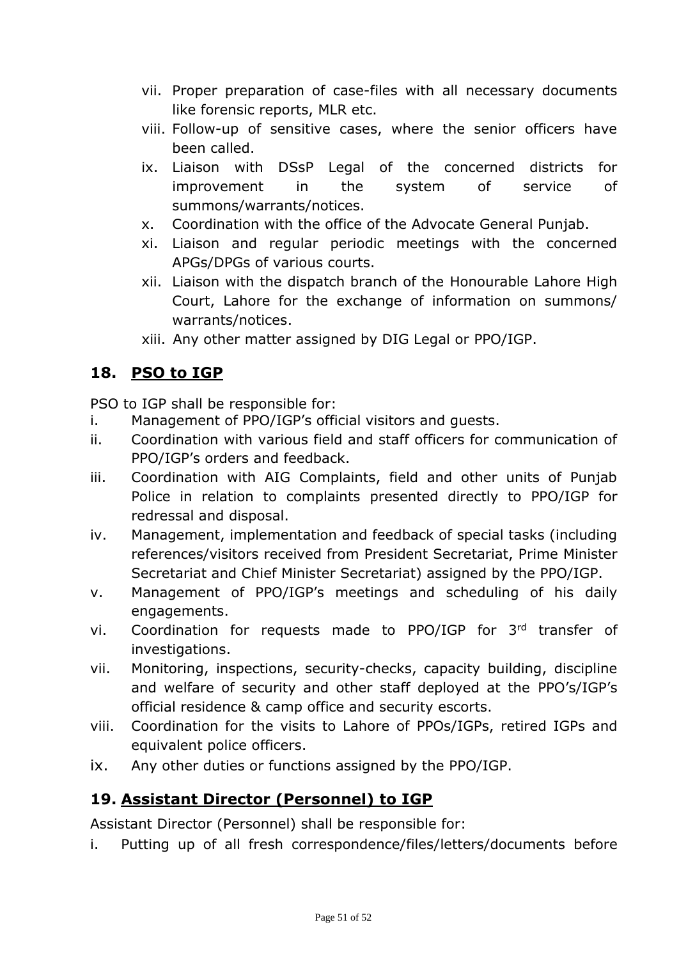- vii. Proper preparation of case-files with all necessary documents like forensic reports, MLR etc.
- viii. Follow-up of sensitive cases, where the senior officers have been called.
- ix. Liaison with DSsP Legal of the concerned districts for improvement in the system of service of summons/warrants/notices.
- x. Coordination with the office of the Advocate General Punjab.
- xi. Liaison and regular periodic meetings with the concerned APGs/DPGs of various courts.
- xii. Liaison with the dispatch branch of the Honourable Lahore High Court, Lahore for the exchange of information on summons/ warrants/notices.
- xiii. Any other matter assigned by DIG Legal or PPO/IGP.

# **18. PSO to IGP**

PSO to IGP shall be responsible for:

- i. Management of PPO/IGP's official visitors and guests.
- ii. Coordination with various field and staff officers for communication of PPO/IGP's orders and feedback.
- iii. Coordination with AIG Complaints, field and other units of Punjab Police in relation to complaints presented directly to PPO/IGP for redressal and disposal.
- iv. Management, implementation and feedback of special tasks (including references/visitors received from President Secretariat, Prime Minister Secretariat and Chief Minister Secretariat) assigned by the PPO/IGP.
- v. Management of PPO/IGP's meetings and scheduling of his daily engagements.
- vi. Coordination for requests made to PPO/IGP for 3rd transfer of investigations.
- vii. Monitoring, inspections, security-checks, capacity building, discipline and welfare of security and other staff deployed at the PPO's/IGP's official residence & camp office and security escorts.
- viii. Coordination for the visits to Lahore of PPOs/IGPs, retired IGPs and equivalent police officers.
- ix. Any other duties or functions assigned by the PPO/IGP.

## **19. Assistant Director (Personnel) to IGP**

Assistant Director (Personnel) shall be responsible for:

i. Putting up of all fresh correspondence/files/letters/documents before